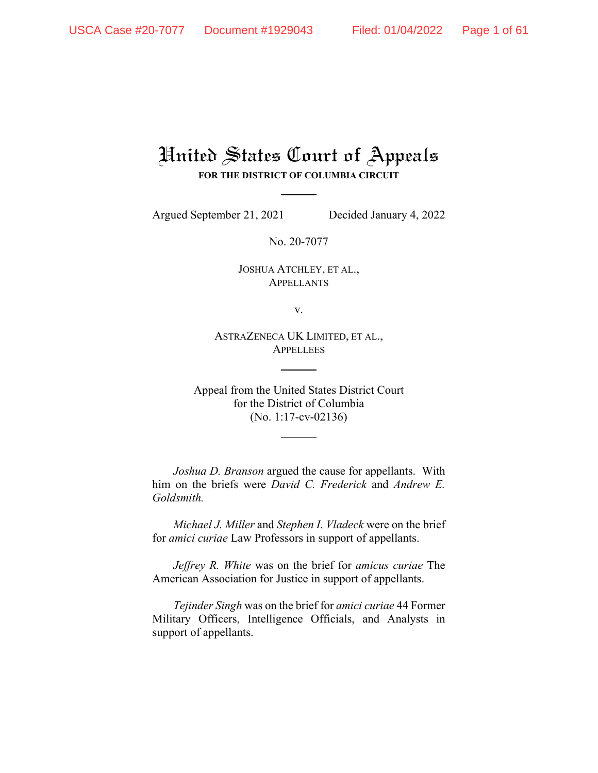# United States Court of Appeals **FOR THE DISTRICT OF COLUMBIA CIRCUIT**

Argued September 21, 2021 Decided January 4, 2022

No. 20-7077

JOSHUA ATCHLEY, ET AL., APPELLANTS

v.

ASTRAZENECA UK LIMITED, ET AL., **APPELLEES** 

Appeal from the United States District Court for the District of Columbia (No. 1:17-cv-02136)

*Joshua D. Branson* argued the cause for appellants. With him on the briefs were *David C. Frederick* and *Andrew E. Goldsmith.*

*Michael J. Miller* and *Stephen I. Vladeck* were on the brief for *amici curiae* Law Professors in support of appellants.

*Jeffrey R. White* was on the brief for *amicus curiae* The American Association for Justice in support of appellants.

*Tejinder Singh* was on the brief for *amici curiae* 44 Former Military Officers, Intelligence Officials, and Analysts in support of appellants.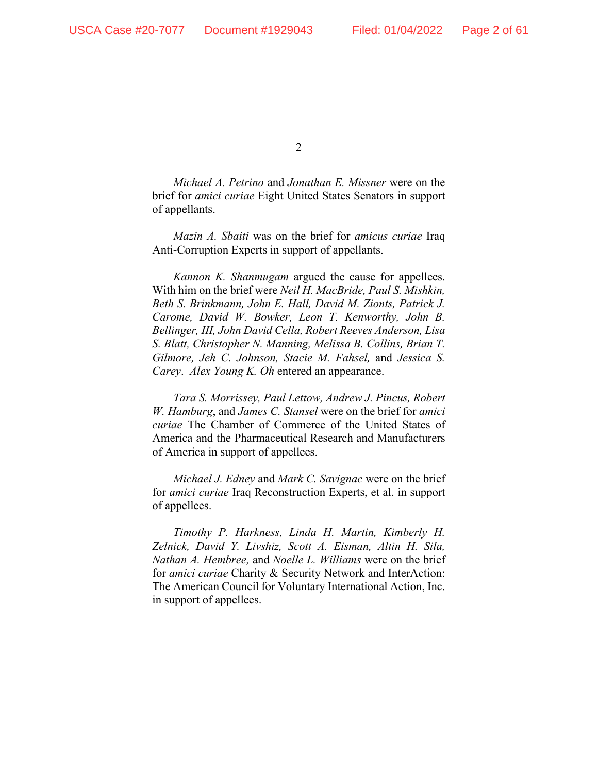*Michael A. Petrino* and *Jonathan E. Missner* were on the brief for *amici curiae* Eight United States Senators in support of appellants.

*Mazin A. Sbaiti* was on the brief for *amicus curiae* Iraq Anti-Corruption Experts in support of appellants.

*Kannon K. Shanmugam* argued the cause for appellees. With him on the brief were *Neil H. MacBride, Paul S. Mishkin, Beth S. Brinkmann, John E. Hall, David M. Zionts, Patrick J. Carome, David W. Bowker, Leon T. Kenworthy, John B. Bellinger, III, John David Cella, Robert Reeves Anderson, Lisa S. Blatt, Christopher N. Manning, Melissa B. Collins, Brian T. Gilmore, Jeh C. Johnson, Stacie M. Fahsel,* and *Jessica S. Carey. Alex Young K. Oh entered an appearance.* 

*Tara S. Morrissey, Paul Lettow, Andrew J. Pincus, Robert W. Hamburg*, and *James C. Stansel* were on the brief for *amici curiae* The Chamber of Commerce of the United States of America and the Pharmaceutical Research and Manufacturers of America in support of appellees.

*Michael J. Edney* and *Mark C. Savignac* were on the brief for *amici curiae* Iraq Reconstruction Experts, et al. in support of appellees.

*Timothy P. Harkness, Linda H. Martin, Kimberly H. Zelnick, David Y. Livshiz, Scott A. Eisman, Altin H. Sila, Nathan A. Hembree,* and *Noelle L. Williams* were on the brief for *amici curiae* Charity & Security Network and InterAction: The American Council for Voluntary International Action, Inc. in support of appellees.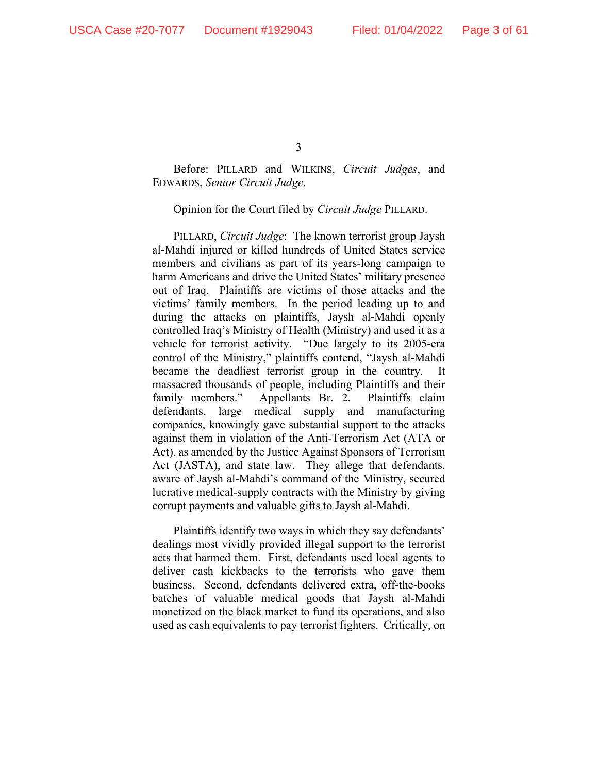Before: PILLARD and WILKINS, *Circuit Judges*, and EDWARDS, *Senior Circuit Judge*.

Opinion for the Court filed by *Circuit Judge* PILLARD.

PILLARD, *Circuit Judge*: The known terrorist group Jaysh al-Mahdi injured or killed hundreds of United States service members and civilians as part of its years-long campaign to harm Americans and drive the United States' military presence out of Iraq. Plaintiffs are victims of those attacks and the victims' family members. In the period leading up to and during the attacks on plaintiffs, Jaysh al-Mahdi openly controlled Iraq's Ministry of Health (Ministry) and used it as a vehicle for terrorist activity. "Due largely to its 2005-era control of the Ministry," plaintiffs contend, "Jaysh al-Mahdi became the deadliest terrorist group in the country. It massacred thousands of people, including Plaintiffs and their family members." Appellants Br. 2. Plaintiffs claim defendants, large medical supply and manufacturing companies, knowingly gave substantial support to the attacks against them in violation of the Anti-Terrorism Act (ATA or Act), as amended by the Justice Against Sponsors of Terrorism Act (JASTA), and state law. They allege that defendants, aware of Jaysh al-Mahdi's command of the Ministry, secured lucrative medical-supply contracts with the Ministry by giving corrupt payments and valuable gifts to Jaysh al-Mahdi.

Plaintiffs identify two ways in which they say defendants' dealings most vividly provided illegal support to the terrorist acts that harmed them. First, defendants used local agents to deliver cash kickbacks to the terrorists who gave them business. Second, defendants delivered extra, off-the-books batches of valuable medical goods that Jaysh al-Mahdi monetized on the black market to fund its operations, and also used as cash equivalents to pay terrorist fighters. Critically, on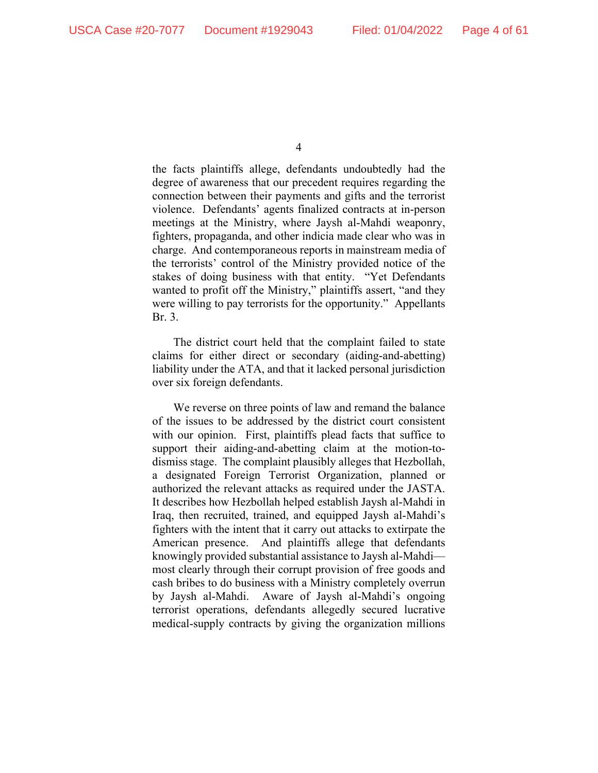the facts plaintiffs allege, defendants undoubtedly had the degree of awareness that our precedent requires regarding the connection between their payments and gifts and the terrorist violence. Defendants' agents finalized contracts at in-person meetings at the Ministry, where Jaysh al-Mahdi weaponry, fighters, propaganda, and other indicia made clear who was in charge. And contemporaneous reports in mainstream media of the terrorists' control of the Ministry provided notice of the stakes of doing business with that entity. "Yet Defendants wanted to profit off the Ministry," plaintiffs assert, "and they were willing to pay terrorists for the opportunity." Appellants Br. 3.

The district court held that the complaint failed to state claims for either direct or secondary (aiding-and-abetting) liability under the ATA, and that it lacked personal jurisdiction over six foreign defendants.

We reverse on three points of law and remand the balance of the issues to be addressed by the district court consistent with our opinion. First, plaintiffs plead facts that suffice to support their aiding-and-abetting claim at the motion-todismiss stage. The complaint plausibly alleges that Hezbollah, a designated Foreign Terrorist Organization, planned or authorized the relevant attacks as required under the JASTA. It describes how Hezbollah helped establish Jaysh al-Mahdi in Iraq, then recruited, trained, and equipped Jaysh al-Mahdi's fighters with the intent that it carry out attacks to extirpate the American presence. And plaintiffs allege that defendants knowingly provided substantial assistance to Jaysh al-Mahdi most clearly through their corrupt provision of free goods and cash bribes to do business with a Ministry completely overrun by Jaysh al-Mahdi. Aware of Jaysh al-Mahdi's ongoing terrorist operations, defendants allegedly secured lucrative medical-supply contracts by giving the organization millions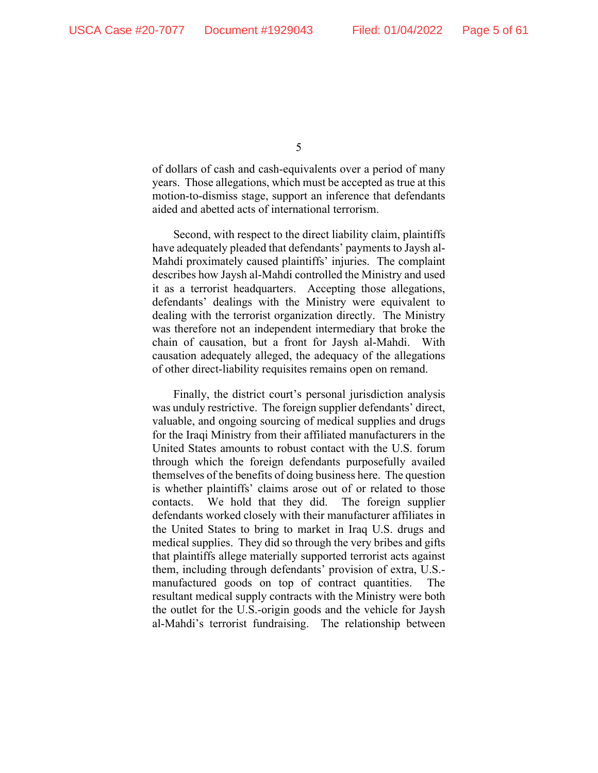of dollars of cash and cash-equivalents over a period of many years. Those allegations, which must be accepted as true at this motion-to-dismiss stage, support an inference that defendants aided and abetted acts of international terrorism.

Second, with respect to the direct liability claim, plaintiffs have adequately pleaded that defendants' payments to Jaysh al-Mahdi proximately caused plaintiffs' injuries. The complaint describes how Jaysh al-Mahdi controlled the Ministry and used it as a terrorist headquarters. Accepting those allegations, defendants' dealings with the Ministry were equivalent to dealing with the terrorist organization directly. The Ministry was therefore not an independent intermediary that broke the chain of causation, but a front for Jaysh al-Mahdi. With causation adequately alleged, the adequacy of the allegations of other direct-liability requisites remains open on remand.

Finally, the district court's personal jurisdiction analysis was unduly restrictive. The foreign supplier defendants' direct, valuable, and ongoing sourcing of medical supplies and drugs for the Iraqi Ministry from their affiliated manufacturers in the United States amounts to robust contact with the U.S. forum through which the foreign defendants purposefully availed themselves of the benefits of doing business here. The question is whether plaintiffs' claims arose out of or related to those contacts. We hold that they did. The foreign supplier defendants worked closely with their manufacturer affiliates in the United States to bring to market in Iraq U.S. drugs and medical supplies. They did so through the very bribes and gifts that plaintiffs allege materially supported terrorist acts against them, including through defendants' provision of extra, U.S. manufactured goods on top of contract quantities. The resultant medical supply contracts with the Ministry were both the outlet for the U.S.-origin goods and the vehicle for Jaysh al-Mahdi's terrorist fundraising. The relationship between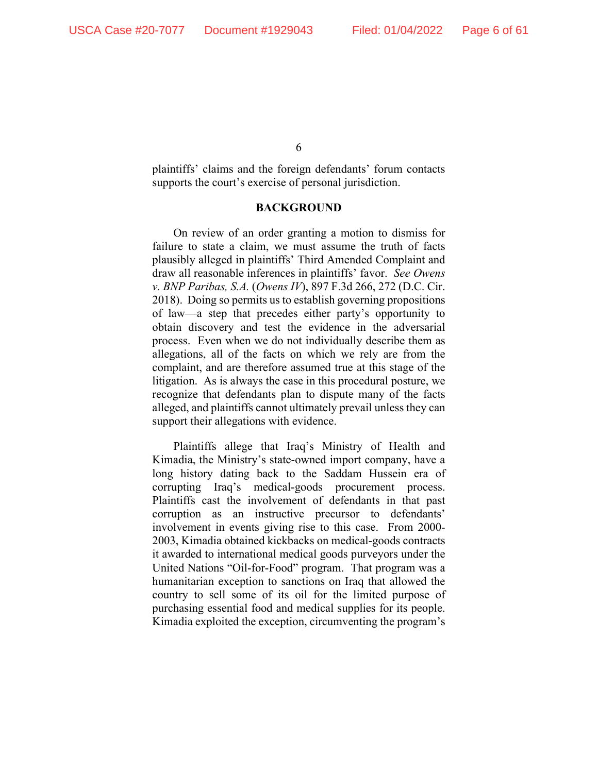plaintiffs' claims and the foreign defendants' forum contacts supports the court's exercise of personal jurisdiction.

#### **BACKGROUND**

On review of an order granting a motion to dismiss for failure to state a claim, we must assume the truth of facts plausibly alleged in plaintiffs' Third Amended Complaint and draw all reasonable inferences in plaintiffs' favor. *See Owens v. BNP Paribas, S.A.* (*Owens IV*), 897 F.3d 266, 272 (D.C. Cir. 2018). Doing so permits us to establish governing propositions of law—a step that precedes either party's opportunity to obtain discovery and test the evidence in the adversarial process. Even when we do not individually describe them as allegations, all of the facts on which we rely are from the complaint, and are therefore assumed true at this stage of the litigation. As is always the case in this procedural posture, we recognize that defendants plan to dispute many of the facts alleged, and plaintiffs cannot ultimately prevail unless they can support their allegations with evidence.

Plaintiffs allege that Iraq's Ministry of Health and Kimadia, the Ministry's state-owned import company, have a long history dating back to the Saddam Hussein era of corrupting Iraq's medical-goods procurement process. Plaintiffs cast the involvement of defendants in that past corruption as an instructive precursor to defendants' involvement in events giving rise to this case. From 2000- 2003, Kimadia obtained kickbacks on medical-goods contracts it awarded to international medical goods purveyors under the United Nations "Oil-for-Food" program. That program was a humanitarian exception to sanctions on Iraq that allowed the country to sell some of its oil for the limited purpose of purchasing essential food and medical supplies for its people. Kimadia exploited the exception, circumventing the program's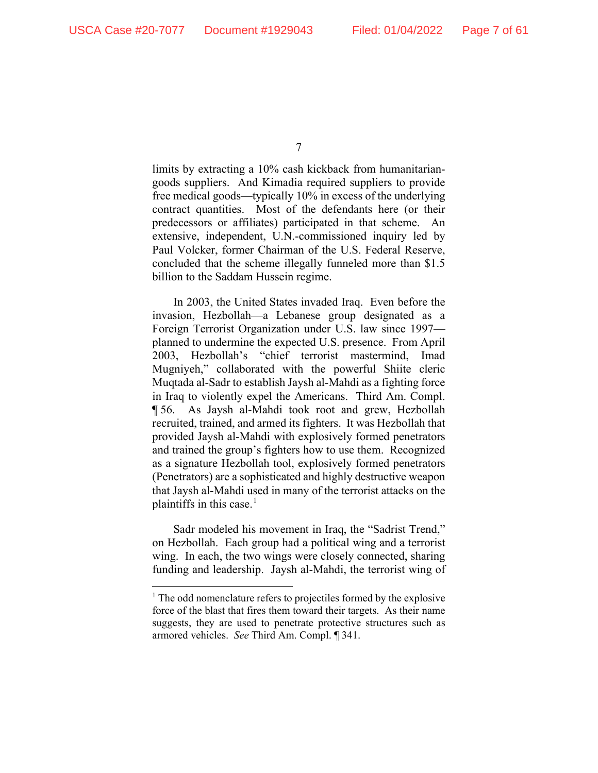limits by extracting a 10% cash kickback from humanitariangoods suppliers. And Kimadia required suppliers to provide free medical goods—typically 10% in excess of the underlying contract quantities. Most of the defendants here (or their predecessors or affiliates) participated in that scheme. An extensive, independent, U.N.-commissioned inquiry led by Paul Volcker, former Chairman of the U.S. Federal Reserve, concluded that the scheme illegally funneled more than \$1.5 billion to the Saddam Hussein regime.

In 2003, the United States invaded Iraq. Even before the invasion, Hezbollah—a Lebanese group designated as a Foreign Terrorist Organization under U.S. law since 1997 planned to undermine the expected U.S. presence. From April 2003, Hezbollah's "chief terrorist mastermind, Imad Mugniyeh," collaborated with the powerful Shiite cleric Muqtada al-Sadr to establish Jaysh al-Mahdi as a fighting force in Iraq to violently expel the Americans. Third Am. Compl. ¶ 56. As Jaysh al-Mahdi took root and grew, Hezbollah recruited, trained, and armed its fighters. It was Hezbollah that provided Jaysh al-Mahdi with explosively formed penetrators and trained the group's fighters how to use them. Recognized as a signature Hezbollah tool, explosively formed penetrators (Penetrators) are a sophisticated and highly destructive weapon that Jaysh al-Mahdi used in many of the terrorist attacks on the plaintiffs in this case. $<sup>1</sup>$  $<sup>1</sup>$  $<sup>1</sup>$ </sup>

Sadr modeled his movement in Iraq, the "Sadrist Trend," on Hezbollah. Each group had a political wing and a terrorist wing. In each, the two wings were closely connected, sharing funding and leadership. Jaysh al-Mahdi, the terrorist wing of

<sup>7</sup>

<span id="page-6-0"></span> $<sup>1</sup>$  The odd nomenclature refers to projectiles formed by the explosive</sup> force of the blast that fires them toward their targets. As their name suggests, they are used to penetrate protective structures such as armored vehicles. *See* Third Am. Compl. ¶ 341.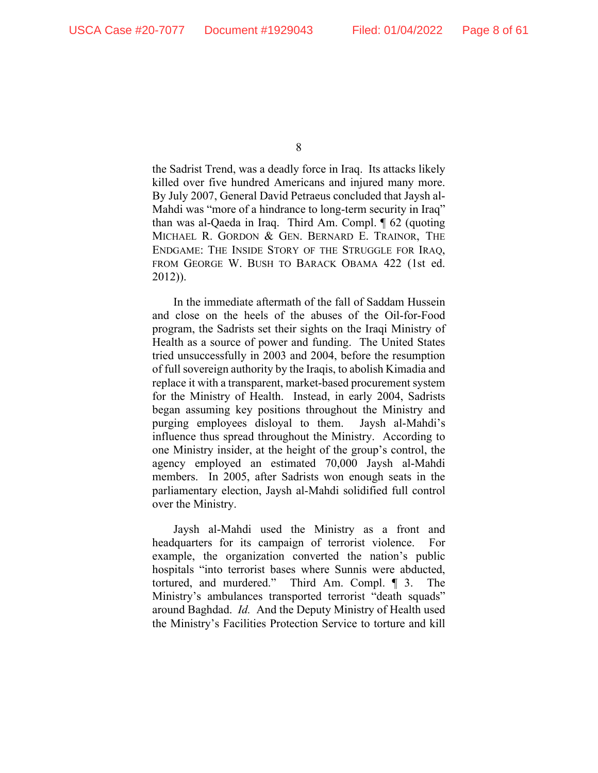the Sadrist Trend, was a deadly force in Iraq. Its attacks likely killed over five hundred Americans and injured many more. By July 2007, General David Petraeus concluded that Jaysh al-Mahdi was "more of a hindrance to long-term security in Iraq" than was al-Qaeda in Iraq. Third Am. Compl. ¶ 62 (quoting MICHAEL R. GORDON & GEN. BERNARD E. TRAINOR, THE ENDGAME: THE INSIDE STORY OF THE STRUGGLE FOR IRAQ, FROM GEORGE W. BUSH TO BARACK OBAMA 422 (1st ed. 2012)).

In the immediate aftermath of the fall of Saddam Hussein and close on the heels of the abuses of the Oil-for-Food program, the Sadrists set their sights on the Iraqi Ministry of Health as a source of power and funding. The United States tried unsuccessfully in 2003 and 2004, before the resumption of full sovereign authority by the Iraqis, to abolish Kimadia and replace it with a transparent, market-based procurement system for the Ministry of Health. Instead, in early 2004, Sadrists began assuming key positions throughout the Ministry and purging employees disloyal to them. Jaysh al-Mahdi's influence thus spread throughout the Ministry. According to one Ministry insider, at the height of the group's control, the agency employed an estimated 70,000 Jaysh al-Mahdi members. In 2005, after Sadrists won enough seats in the parliamentary election, Jaysh al-Mahdi solidified full control over the Ministry.

Jaysh al-Mahdi used the Ministry as a front and headquarters for its campaign of terrorist violence. For example, the organization converted the nation's public hospitals "into terrorist bases where Sunnis were abducted, tortured, and murdered." Third Am. Compl. ¶ 3. The Ministry's ambulances transported terrorist "death squads" around Baghdad. *Id.* And the Deputy Ministry of Health used the Ministry's Facilities Protection Service to torture and kill

<sup>8</sup>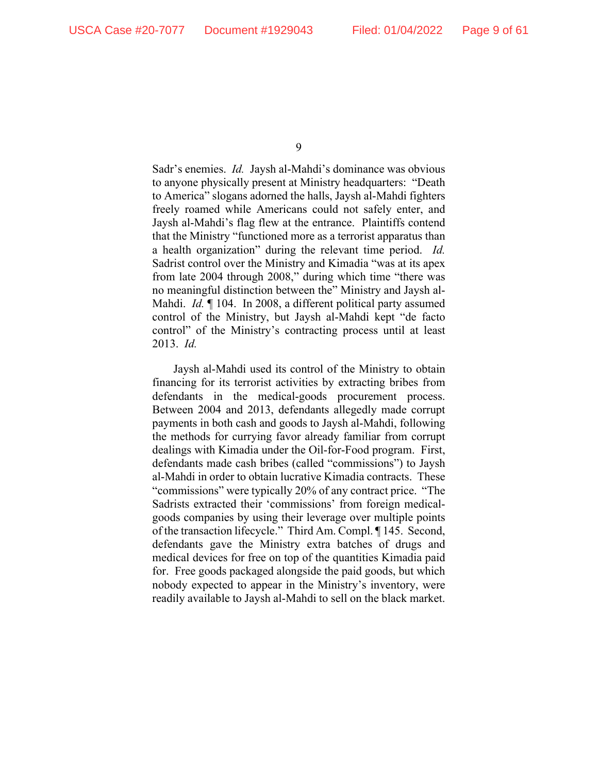Sadr's enemies. *Id.* Jaysh al-Mahdi's dominance was obvious to anyone physically present at Ministry headquarters: "Death to America" slogans adorned the halls, Jaysh al-Mahdi fighters freely roamed while Americans could not safely enter, and Jaysh al-Mahdi's flag flew at the entrance. Plaintiffs contend that the Ministry "functioned more as a terrorist apparatus than a health organization" during the relevant time period. *Id.* Sadrist control over the Ministry and Kimadia "was at its apex from late 2004 through 2008," during which time "there was no meaningful distinction between the" Ministry and Jaysh al-Mahdi. *Id.* ¶ 104. In 2008, a different political party assumed control of the Ministry, but Jaysh al-Mahdi kept "de facto control" of the Ministry's contracting process until at least 2013. *Id.* 

Jaysh al-Mahdi used its control of the Ministry to obtain financing for its terrorist activities by extracting bribes from defendants in the medical-goods procurement process. Between 2004 and 2013, defendants allegedly made corrupt payments in both cash and goods to Jaysh al-Mahdi, following the methods for currying favor already familiar from corrupt dealings with Kimadia under the Oil-for-Food program. First, defendants made cash bribes (called "commissions") to Jaysh al-Mahdi in order to obtain lucrative Kimadia contracts. These "commissions" were typically 20% of any contract price. "The Sadrists extracted their 'commissions' from foreign medicalgoods companies by using their leverage over multiple points of the transaction lifecycle." Third Am. Compl. ¶ 145. Second, defendants gave the Ministry extra batches of drugs and medical devices for free on top of the quantities Kimadia paid for. Free goods packaged alongside the paid goods, but which nobody expected to appear in the Ministry's inventory, were readily available to Jaysh al-Mahdi to sell on the black market.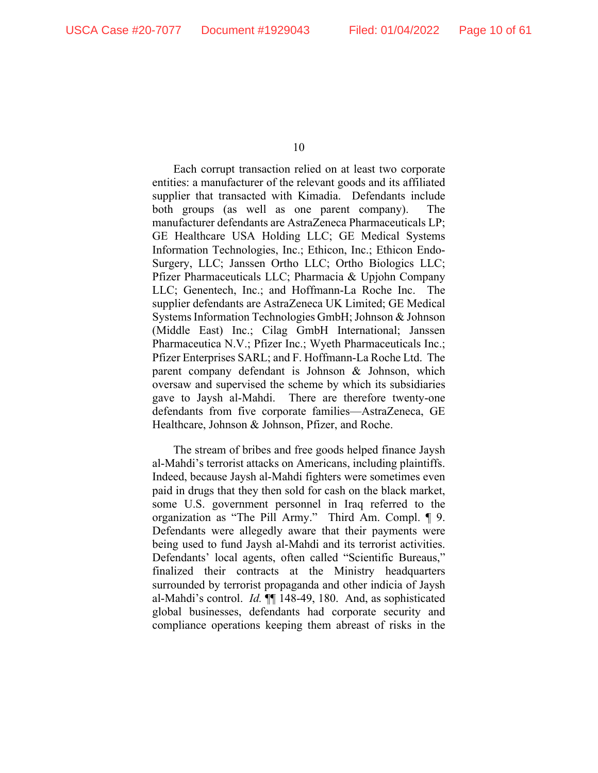Each corrupt transaction relied on at least two corporate entities: a manufacturer of the relevant goods and its affiliated supplier that transacted with Kimadia. Defendants include both groups (as well as one parent company). The manufacturer defendants are AstraZeneca Pharmaceuticals LP; GE Healthcare USA Holding LLC; GE Medical Systems Information Technologies, Inc.; Ethicon, Inc.; Ethicon Endo-Surgery, LLC; Janssen Ortho LLC; Ortho Biologics LLC; Pfizer Pharmaceuticals LLC; Pharmacia & Upjohn Company LLC; Genentech, Inc.; and Hoffmann-La Roche Inc. The supplier defendants are AstraZeneca UK Limited; GE Medical Systems Information Technologies GmbH; Johnson & Johnson (Middle East) Inc.; Cilag GmbH International; Janssen Pharmaceutica N.V.; Pfizer Inc.; Wyeth Pharmaceuticals Inc.; Pfizer Enterprises SARL; and F. Hoffmann-La Roche Ltd. The parent company defendant is Johnson & Johnson, which oversaw and supervised the scheme by which its subsidiaries gave to Jaysh al-Mahdi. There are therefore twenty-one defendants from five corporate families—AstraZeneca, GE Healthcare, Johnson & Johnson, Pfizer, and Roche.

The stream of bribes and free goods helped finance Jaysh al-Mahdi's terrorist attacks on Americans, including plaintiffs. Indeed, because Jaysh al-Mahdi fighters were sometimes even paid in drugs that they then sold for cash on the black market, some U.S. government personnel in Iraq referred to the organization as "The Pill Army." Third Am. Compl. ¶ 9. Defendants were allegedly aware that their payments were being used to fund Jaysh al-Mahdi and its terrorist activities. Defendants' local agents, often called "Scientific Bureaus," finalized their contracts at the Ministry headquarters surrounded by terrorist propaganda and other indicia of Jaysh al-Mahdi's control. *Id.* ¶¶ 148-49, 180. And, as sophisticated global businesses, defendants had corporate security and compliance operations keeping them abreast of risks in the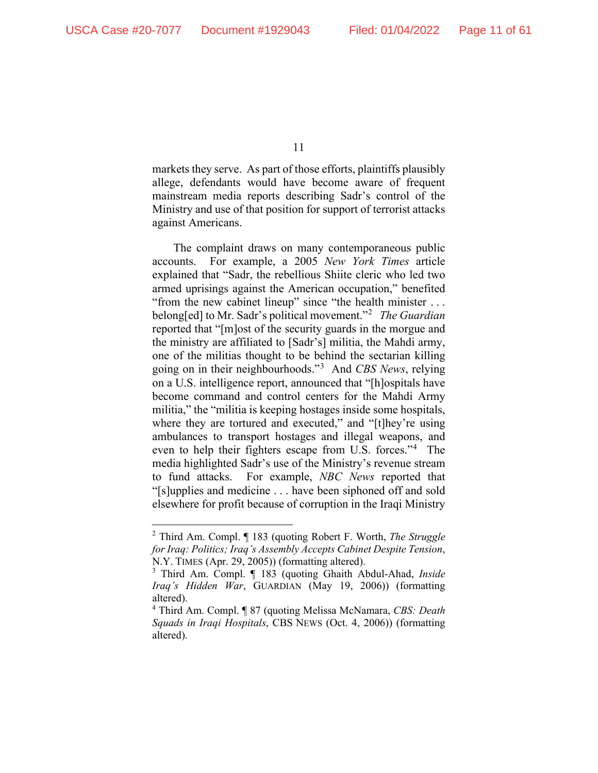markets they serve. As part of those efforts, plaintiffs plausibly allege, defendants would have become aware of frequent mainstream media reports describing Sadr's control of the Ministry and use of that position for support of terrorist attacks against Americans.

The complaint draws on many contemporaneous public accounts. For example, a 2005 *New York Times* article explained that "Sadr, the rebellious Shiite cleric who led two armed uprisings against the American occupation," benefited "from the new cabinet lineup" since "the health minister . . . belong[ed] to Mr. Sadr's political movement."[2](#page-10-0) *The Guardian* reported that "[m]ost of the security guards in the morgue and the ministry are affiliated to [Sadr's] militia, the Mahdi army, one of the militias thought to be behind the sectarian killing going on in their neighbourhoods."[3](#page-10-1) And *CBS News*, relying on a U.S. intelligence report, announced that "[h]ospitals have become command and control centers for the Mahdi Army militia," the "militia is keeping hostages inside some hospitals, where they are tortured and executed," and "[t]hey're using ambulances to transport hostages and illegal weapons, and even to help their fighters escape from U.S. forces."[4](#page-10-2) The media highlighted Sadr's use of the Ministry's revenue stream to fund attacks. For example, *NBC News* reported that "[s]upplies and medicine . . . have been siphoned off and sold elsewhere for profit because of corruption in the Iraqi Ministry

<span id="page-10-0"></span><sup>2</sup> Third Am. Compl. ¶ 183 (quoting Robert F. Worth, *The Struggle for Iraq: Politics; Iraq's Assembly Accepts Cabinet Despite Tension*, N.Y. TIMES (Apr. 29, 2005)) (formatting altered).

<span id="page-10-1"></span><sup>3</sup> Third Am. Compl. ¶ 183 (quoting Ghaith Abdul-Ahad, *Inside Iraq's Hidden War*, GUARDIAN (May 19, 2006)) (formatting altered).

<span id="page-10-2"></span><sup>4</sup> Third Am. Compl. ¶ 87 (quoting Melissa McNamara, *CBS: Death Squads in Iraqi Hospitals*, CBS NEWS (Oct. 4, 2006)) (formatting altered).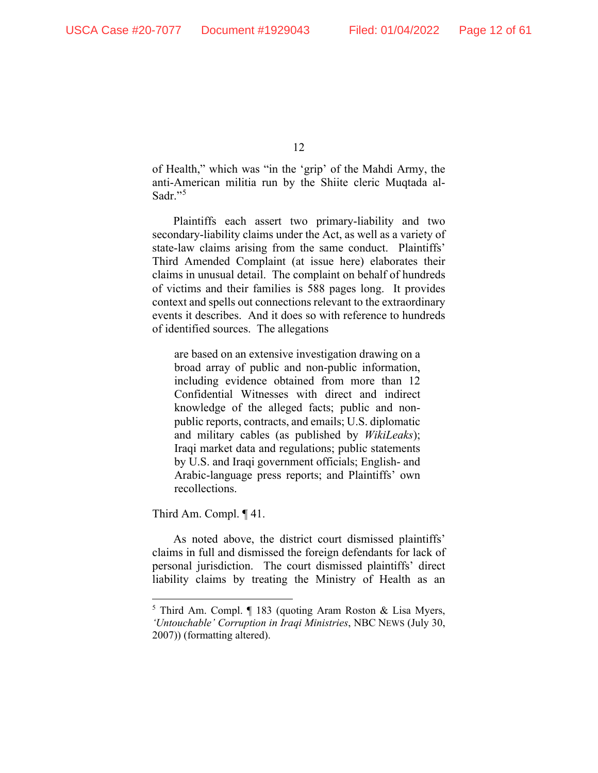of Health," which was "in the 'grip' of the Mahdi Army, the anti-American militia run by the Shiite cleric Muqtada al-Sadr."<sup>[5](#page-11-0)</sup>

Plaintiffs each assert two primary-liability and two secondary-liability claims under the Act, as well as a variety of state-law claims arising from the same conduct. Plaintiffs' Third Amended Complaint (at issue here) elaborates their claims in unusual detail. The complaint on behalf of hundreds of victims and their families is 588 pages long. It provides context and spells out connections relevant to the extraordinary events it describes. And it does so with reference to hundreds of identified sources. The allegations

are based on an extensive investigation drawing on a broad array of public and non-public information, including evidence obtained from more than 12 Confidential Witnesses with direct and indirect knowledge of the alleged facts; public and nonpublic reports, contracts, and emails; U.S. diplomatic and military cables (as published by *WikiLeaks*); Iraqi market data and regulations; public statements by U.S. and Iraqi government officials; English- and Arabic-language press reports; and Plaintiffs' own recollections.

Third Am. Compl. ¶ 41.

As noted above, the district court dismissed plaintiffs' claims in full and dismissed the foreign defendants for lack of personal jurisdiction. The court dismissed plaintiffs' direct liability claims by treating the Ministry of Health as an

<span id="page-11-0"></span><sup>5</sup> Third Am. Compl. ¶ 183 (quoting Aram Roston & Lisa Myers, *'Untouchable' Corruption in Iraqi Ministries*, NBC NEWS (July 30, 2007)) (formatting altered).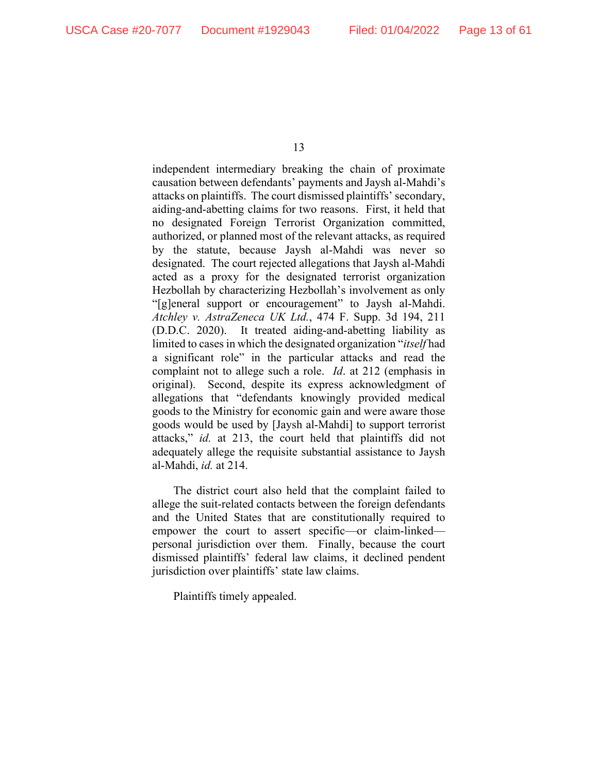independent intermediary breaking the chain of proximate causation between defendants' payments and Jaysh al-Mahdi's attacks on plaintiffs. The court dismissed plaintiffs' secondary, aiding-and-abetting claims for two reasons. First, it held that no designated Foreign Terrorist Organization committed, authorized, or planned most of the relevant attacks, as required by the statute, because Jaysh al-Mahdi was never so designated. The court rejected allegations that Jaysh al-Mahdi acted as a proxy for the designated terrorist organization Hezbollah by characterizing Hezbollah's involvement as only "[g]eneral support or encouragement" to Jaysh al-Mahdi. *Atchley v. AstraZeneca UK Ltd.*, 474 F. Supp. 3d 194, 211 (D.D.C. 2020). It treated aiding-and-abetting liability as limited to cases in which the designated organization "*itself* had a significant role" in the particular attacks and read the complaint not to allege such a role. *Id*. at 212 (emphasis in original). Second, despite its express acknowledgment of allegations that "defendants knowingly provided medical goods to the Ministry for economic gain and were aware those goods would be used by [Jaysh al-Mahdi] to support terrorist attacks," *id.* at 213, the court held that plaintiffs did not adequately allege the requisite substantial assistance to Jaysh al-Mahdi, *id.* at 214.

The district court also held that the complaint failed to allege the suit-related contacts between the foreign defendants and the United States that are constitutionally required to empower the court to assert specific—or claim-linked personal jurisdiction over them. Finally, because the court dismissed plaintiffs' federal law claims, it declined pendent jurisdiction over plaintiffs' state law claims.

Plaintiffs timely appealed.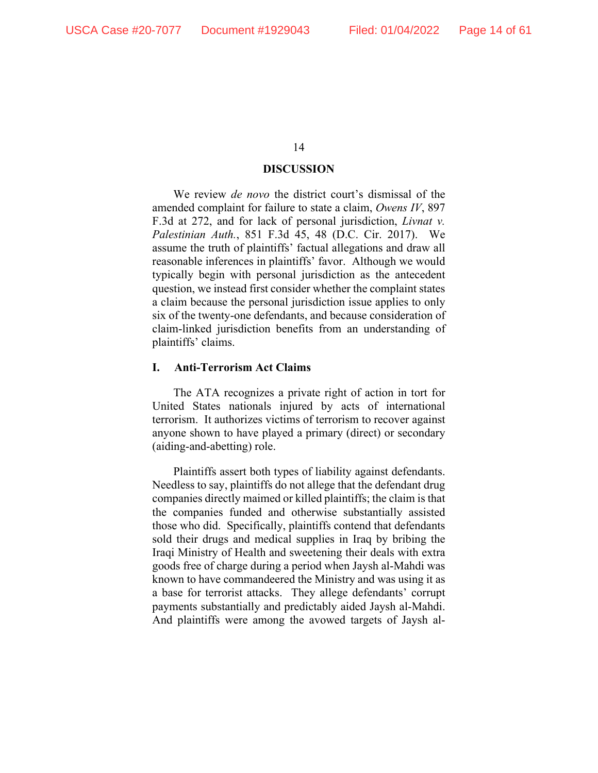# **DISCUSSION**

We review *de novo* the district court's dismissal of the amended complaint for failure to state a claim, *Owens IV*, 897 F.3d at 272, and for lack of personal jurisdiction, *Livnat v. Palestinian Auth.*, 851 F.3d 45, 48 (D.C. Cir. 2017). We assume the truth of plaintiffs' factual allegations and draw all reasonable inferences in plaintiffs' favor. Although we would typically begin with personal jurisdiction as the antecedent question, we instead first consider whether the complaint states a claim because the personal jurisdiction issue applies to only six of the twenty-one defendants, and because consideration of claim-linked jurisdiction benefits from an understanding of plaintiffs' claims.

# **I. Anti-Terrorism Act Claims**

The ATA recognizes a private right of action in tort for United States nationals injured by acts of international terrorism. It authorizes victims of terrorism to recover against anyone shown to have played a primary (direct) or secondary (aiding-and-abetting) role.

Plaintiffs assert both types of liability against defendants. Needless to say, plaintiffs do not allege that the defendant drug companies directly maimed or killed plaintiffs; the claim is that the companies funded and otherwise substantially assisted those who did. Specifically, plaintiffs contend that defendants sold their drugs and medical supplies in Iraq by bribing the Iraqi Ministry of Health and sweetening their deals with extra goods free of charge during a period when Jaysh al-Mahdi was known to have commandeered the Ministry and was using it as a base for terrorist attacks. They allege defendants' corrupt payments substantially and predictably aided Jaysh al-Mahdi. And plaintiffs were among the avowed targets of Jaysh al-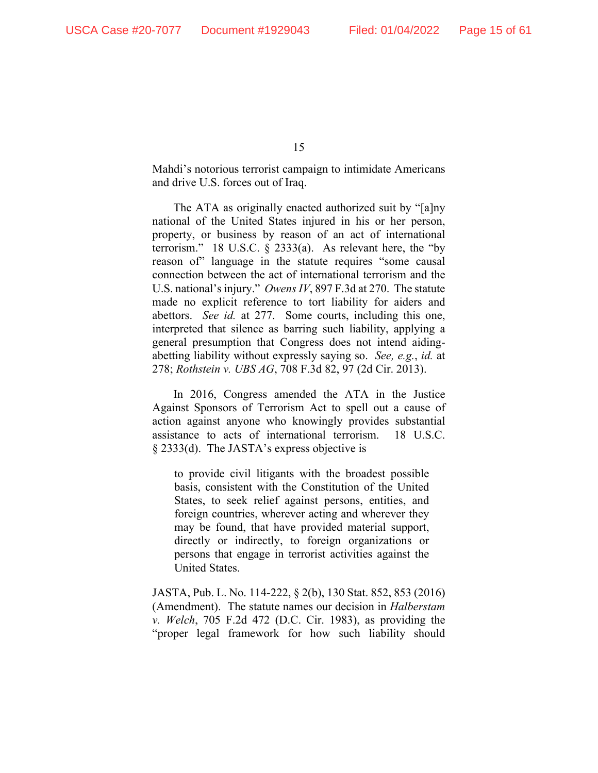Mahdi's notorious terrorist campaign to intimidate Americans and drive U.S. forces out of Iraq.

The ATA as originally enacted authorized suit by "[a]ny national of the United States injured in his or her person, property, or business by reason of an act of international terrorism." 18 U.S.C. § 2333(a). As relevant here, the "by reason of" language in the statute requires "some causal connection between the act of international terrorism and the U.S. national's injury." *Owens IV*, 897 F.3d at 270. The statute made no explicit reference to tort liability for aiders and abettors. *See id.* at 277. Some courts, including this one, interpreted that silence as barring such liability, applying a general presumption that Congress does not intend aidingabetting liability without expressly saying so. *See, e.g.*, *id.* at 278; *Rothstein v. UBS AG*, 708 F.3d 82, 97 (2d Cir. 2013).

In 2016, Congress amended the ATA in the Justice Against Sponsors of Terrorism Act to spell out a cause of action against anyone who knowingly provides substantial assistance to acts of international terrorism. 18 U.S.C. § 2333(d). The JASTA's express objective is

to provide civil litigants with the broadest possible basis, consistent with the Constitution of the United States, to seek relief against persons, entities, and foreign countries, wherever acting and wherever they may be found, that have provided material support, directly or indirectly, to foreign organizations or persons that engage in terrorist activities against the United States.

JASTA, Pub. L. No. 114-222, § 2(b), 130 Stat. 852, 853 (2016) (Amendment). The statute names our decision in *Halberstam v. Welch*, 705 F.2d 472 (D.C. Cir. 1983), as providing the "proper legal framework for how such liability should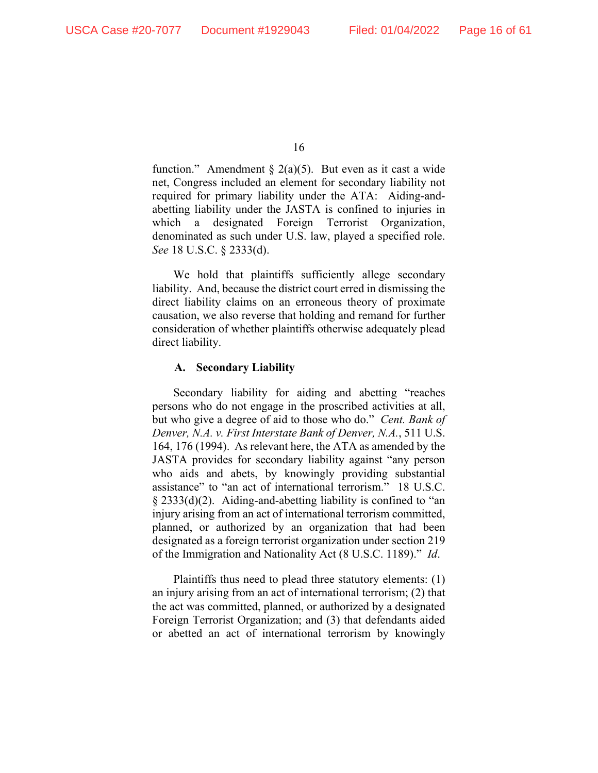function." Amendment § 2(a)(5). But even as it cast a wide net, Congress included an element for secondary liability not required for primary liability under the ATA: Aiding-andabetting liability under the JASTA is confined to injuries in which a designated Foreign Terrorist Organization, denominated as such under U.S. law, played a specified role. *See* 18 U.S.C. § 2333(d).

We hold that plaintiffs sufficiently allege secondary liability. And, because the district court erred in dismissing the direct liability claims on an erroneous theory of proximate causation, we also reverse that holding and remand for further consideration of whether plaintiffs otherwise adequately plead direct liability.

## **A. Secondary Liability**

Secondary liability for aiding and abetting "reaches persons who do not engage in the proscribed activities at all, but who give a degree of aid to those who do." *Cent. Bank of Denver, N.A. v. First Interstate Bank of Denver, N.A.*, 511 U.S. 164, 176 (1994). As relevant here, the ATA as amended by the JASTA provides for secondary liability against "any person who aids and abets, by knowingly providing substantial assistance" to "an act of international terrorism." 18 U.S.C. § 2333(d)(2). Aiding-and-abetting liability is confined to "an injury arising from an act of international terrorism committed, planned, or authorized by an organization that had been designated as a foreign terrorist organization under section 219 of the Immigration and Nationality Act (8 U.S.C. 1189)." *Id*.

Plaintiffs thus need to plead three statutory elements: (1) an injury arising from an act of international terrorism; (2) that the act was committed, planned, or authorized by a designated Foreign Terrorist Organization; and (3) that defendants aided or abetted an act of international terrorism by knowingly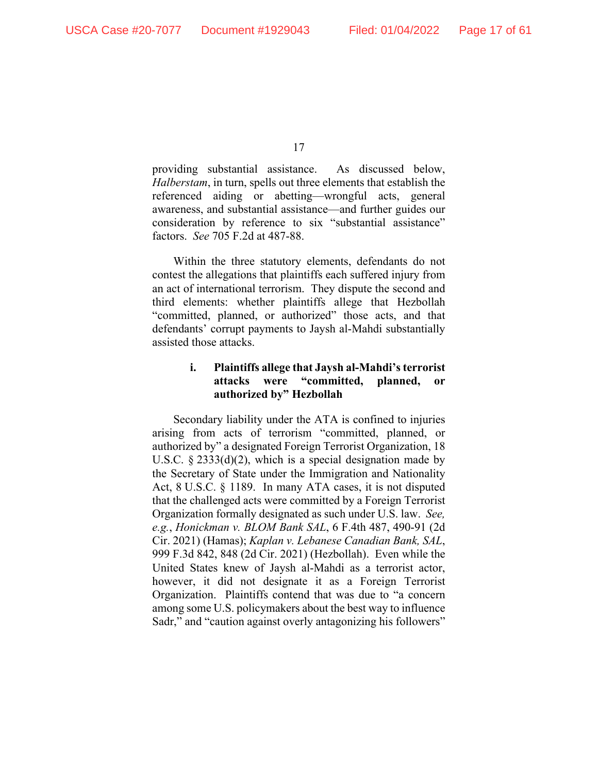providing substantial assistance. As discussed below, *Halberstam*, in turn, spells out three elements that establish the referenced aiding or abetting—wrongful acts, general awareness, and substantial assistance—and further guides our consideration by reference to six "substantial assistance" factors. *See* 705 F.2d at 487-88.

Within the three statutory elements, defendants do not contest the allegations that plaintiffs each suffered injury from an act of international terrorism. They dispute the second and third elements: whether plaintiffs allege that Hezbollah "committed, planned, or authorized" those acts, and that defendants' corrupt payments to Jaysh al-Mahdi substantially assisted those attacks.

# **i. Plaintiffs allege that Jaysh al-Mahdi's terrorist attacks were "committed, planned, or authorized by" Hezbollah**

Secondary liability under the ATA is confined to injuries arising from acts of terrorism "committed, planned, or authorized by" a designated Foreign Terrorist Organization, 18 U.S.C.  $\S 2333(d)(2)$ , which is a special designation made by the Secretary of State under the Immigration and Nationality Act, 8 U.S.C. § 1189. In many ATA cases, it is not disputed that the challenged acts were committed by a Foreign Terrorist Organization formally designated as such under U.S. law. *See, e.g.*, *Honickman v. BLOM Bank SAL*, 6 F.4th 487, 490-91 (2d Cir. 2021) (Hamas); *Kaplan v. Lebanese Canadian Bank, SAL*, 999 F.3d 842, 848 (2d Cir. 2021) (Hezbollah). Even while the United States knew of Jaysh al-Mahdi as a terrorist actor, however, it did not designate it as a Foreign Terrorist Organization. Plaintiffs contend that was due to "a concern among some U.S. policymakers about the best way to influence Sadr," and "caution against overly antagonizing his followers"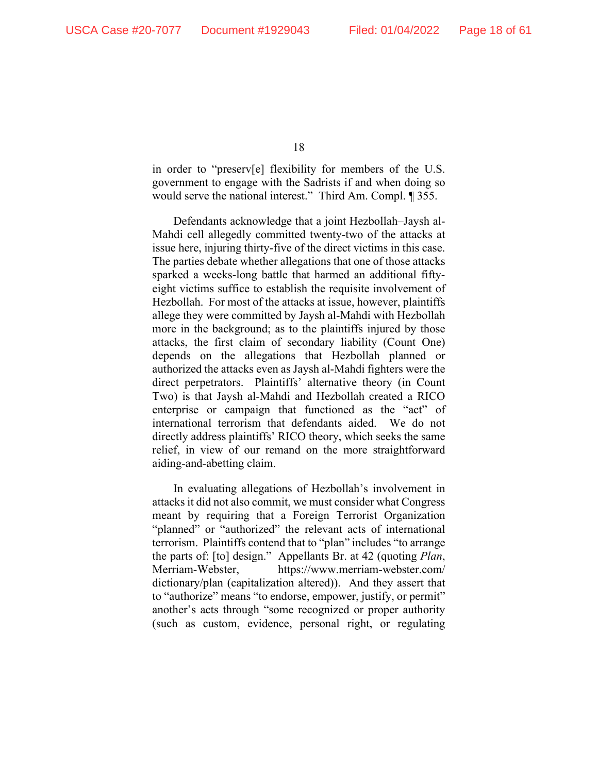in order to "preserv[e] flexibility for members of the U.S. government to engage with the Sadrists if and when doing so would serve the national interest." Third Am. Compl. ¶ 355.

Defendants acknowledge that a joint Hezbollah–Jaysh al-Mahdi cell allegedly committed twenty-two of the attacks at issue here, injuring thirty-five of the direct victims in this case. The parties debate whether allegations that one of those attacks sparked a weeks-long battle that harmed an additional fiftyeight victims suffice to establish the requisite involvement of Hezbollah. For most of the attacks at issue, however, plaintiffs allege they were committed by Jaysh al-Mahdi with Hezbollah more in the background; as to the plaintiffs injured by those attacks, the first claim of secondary liability (Count One) depends on the allegations that Hezbollah planned or authorized the attacks even as Jaysh al-Mahdi fighters were the direct perpetrators. Plaintiffs' alternative theory (in Count Two) is that Jaysh al-Mahdi and Hezbollah created a RICO enterprise or campaign that functioned as the "act" of international terrorism that defendants aided. We do not directly address plaintiffs' RICO theory, which seeks the same relief, in view of our remand on the more straightforward aiding-and-abetting claim.

In evaluating allegations of Hezbollah's involvement in attacks it did not also commit, we must consider what Congress meant by requiring that a Foreign Terrorist Organization "planned" or "authorized" the relevant acts of international terrorism. Plaintiffs contend that to "plan" includes "to arrange the parts of: [to] design." Appellants Br. at 42 (quoting *Plan*, Merriam-Webster, https://www.merriam-webster.com/ dictionary/plan (capitalization altered)). And they assert that to "authorize" means "to endorse, empower, justify, or permit" another's acts through "some recognized or proper authority (such as custom, evidence, personal right, or regulating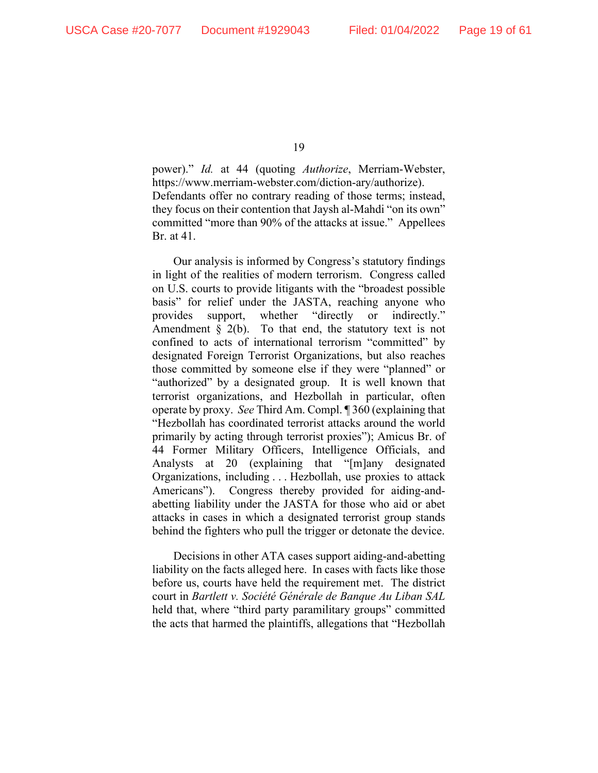power)." *Id.* at 44 (quoting *Authorize*, Merriam-Webster, https://www.merriam-webster.com/diction-ary/authorize). Defendants offer no contrary reading of those terms; instead, they focus on their contention that Jaysh al-Mahdi "on its own" committed "more than 90% of the attacks at issue." Appellees Br. at 41.

Our analysis is informed by Congress's statutory findings in light of the realities of modern terrorism. Congress called on U.S. courts to provide litigants with the "broadest possible basis" for relief under the JASTA, reaching anyone who provides support, whether "directly or indirectly." Amendment  $\S$  2(b). To that end, the statutory text is not confined to acts of international terrorism "committed" by designated Foreign Terrorist Organizations, but also reaches those committed by someone else if they were "planned" or "authorized" by a designated group. It is well known that terrorist organizations, and Hezbollah in particular, often operate by proxy. *See* Third Am. Compl. ¶ 360 (explaining that "Hezbollah has coordinated terrorist attacks around the world primarily by acting through terrorist proxies"); Amicus Br. of 44 Former Military Officers, Intelligence Officials, and Analysts at 20 (explaining that "[m]any designated Organizations, including . . . Hezbollah, use proxies to attack Americans"). Congress thereby provided for aiding-andabetting liability under the JASTA for those who aid or abet attacks in cases in which a designated terrorist group stands behind the fighters who pull the trigger or detonate the device.

Decisions in other ATA cases support aiding-and-abetting liability on the facts alleged here. In cases with facts like those before us, courts have held the requirement met. The district court in *Bartlett v. Société Générale de Banque Au Liban SAL* held that, where "third party paramilitary groups" committed the acts that harmed the plaintiffs, allegations that "Hezbollah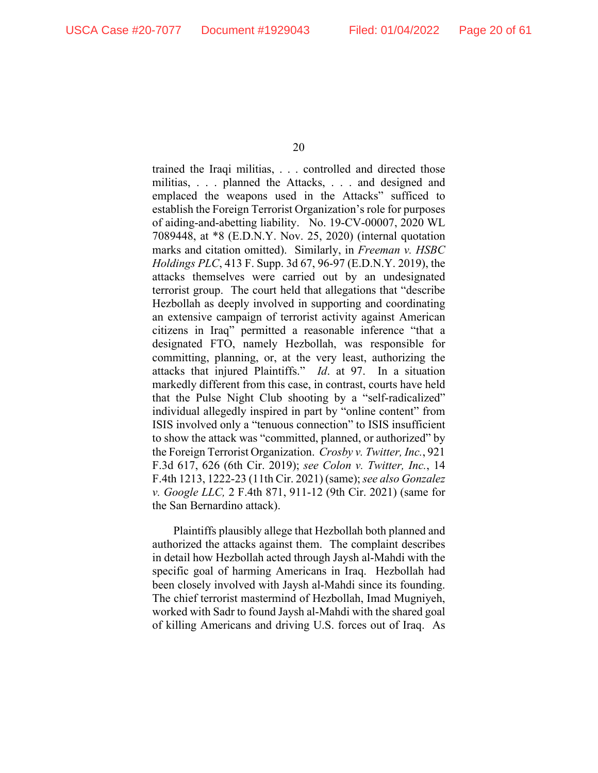trained the Iraqi militias, . . . controlled and directed those militias, . . . planned the Attacks, . . . and designed and emplaced the weapons used in the Attacks" sufficed to establish the Foreign Terrorist Organization's role for purposes of aiding-and-abetting liability. No. 19-CV-00007, 2020 WL 7089448, at \*8 (E.D.N.Y. Nov. 25, 2020) (internal quotation marks and citation omitted). Similarly, in *Freeman v. HSBC Holdings PLC*, 413 F. Supp. 3d 67, 96-97 (E.D.N.Y. 2019), the attacks themselves were carried out by an undesignated terrorist group. The court held that allegations that "describe Hezbollah as deeply involved in supporting and coordinating an extensive campaign of terrorist activity against American citizens in Iraq" permitted a reasonable inference "that a designated FTO, namely Hezbollah, was responsible for committing, planning, or, at the very least, authorizing the attacks that injured Plaintiffs." *Id*. at 97. In a situation markedly different from this case, in contrast, courts have held that the Pulse Night Club shooting by a "self-radicalized" individual allegedly inspired in part by "online content" from ISIS involved only a "tenuous connection" to ISIS insufficient to show the attack was "committed, planned, or authorized" by the Foreign Terrorist Organization. *Crosby v. Twitter, Inc.*, 921 F.3d 617, 626 (6th Cir. 2019); *see Colon v. Twitter, Inc.*, 14 F.4th 1213, 1222-23 (11th Cir. 2021) (same); *see also Gonzalez v. Google LLC,* 2 F.4th 871, 911-12 (9th Cir. 2021) (same for the San Bernardino attack).

Plaintiffs plausibly allege that Hezbollah both planned and authorized the attacks against them. The complaint describes in detail how Hezbollah acted through Jaysh al-Mahdi with the specific goal of harming Americans in Iraq. Hezbollah had been closely involved with Jaysh al-Mahdi since its founding. The chief terrorist mastermind of Hezbollah, Imad Mugniyeh, worked with Sadr to found Jaysh al-Mahdi with the shared goal of killing Americans and driving U.S. forces out of Iraq. As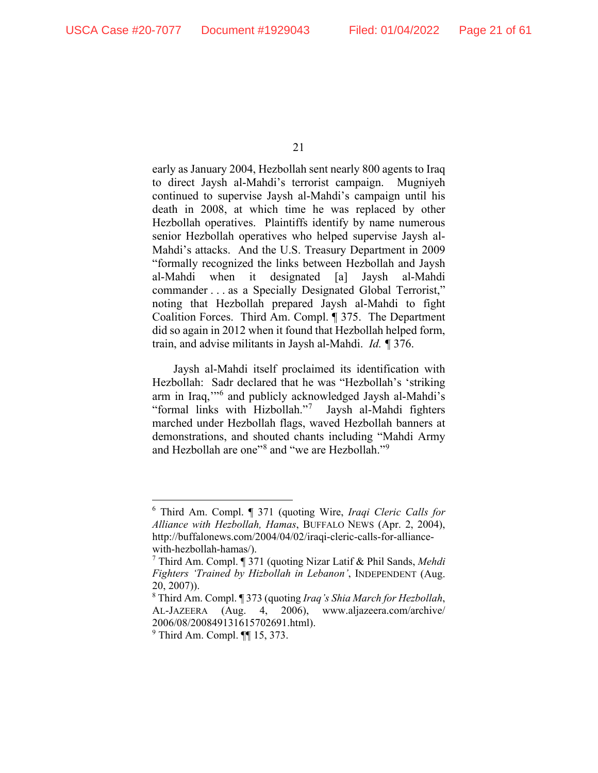early as January 2004, Hezbollah sent nearly 800 agents to Iraq to direct Jaysh al-Mahdi's terrorist campaign. Mugniyeh continued to supervise Jaysh al-Mahdi's campaign until his death in 2008, at which time he was replaced by other Hezbollah operatives. Plaintiffs identify by name numerous senior Hezbollah operatives who helped supervise Jaysh al-Mahdi's attacks. And the U.S. Treasury Department in 2009 "formally recognized the links between Hezbollah and Jaysh al-Mahdi when it designated [a] Jaysh al-Mahdi commander . . . as a Specially Designated Global Terrorist," noting that Hezbollah prepared Jaysh al-Mahdi to fight Coalition Forces. Third Am. Compl. ¶ 375. The Department did so again in 2012 when it found that Hezbollah helped form, train, and advise militants in Jaysh al-Mahdi. *Id. ¶* 376.

Jaysh al-Mahdi itself proclaimed its identification with Hezbollah: Sadr declared that he was "Hezbollah's 'striking arm in Iraq,'"[6](#page-20-0) and publicly acknowledged Jaysh al-Mahdi's "formal links with Hizbollah."[7](#page-20-1) Jaysh al-Mahdi fighters marched under Hezbollah flags, waved Hezbollah banners at demonstrations, and shouted chants including "Mahdi Army and Hezbollah are one"<sup>[8](#page-20-2)</sup> and "we are Hezbollah."<sup>[9](#page-20-3)</sup>

<span id="page-20-0"></span><sup>6</sup> Third Am. Compl. ¶ 371 (quoting Wire, *Iraqi Cleric Calls for Alliance with Hezbollah, Hamas*, BUFFALO NEWS (Apr. 2, 2004), http://buffalonews.com/2004/04/02/iraqi-cleric-calls-for-alliancewith-hezbollah-hamas/).

<span id="page-20-1"></span><sup>7</sup> Third Am. Compl. ¶ 371 (quoting Nizar Latif & Phil Sands, *Mehdi Fighters 'Trained by Hizbollah in Lebanon'*, INDEPENDENT (Aug. 20, 2007)).

<span id="page-20-2"></span><sup>8</sup> Third Am. Compl. ¶ 373 (quoting *Iraq's Shia March for Hezbollah*, AL-JAZEERA (Aug. 4, 2006), www.aljazeera.com/archive/ 2006/08/200849131615702691.html).

<span id="page-20-3"></span> $<sup>9</sup>$  Third Am. Compl.  $\P$  15, 373.</sup>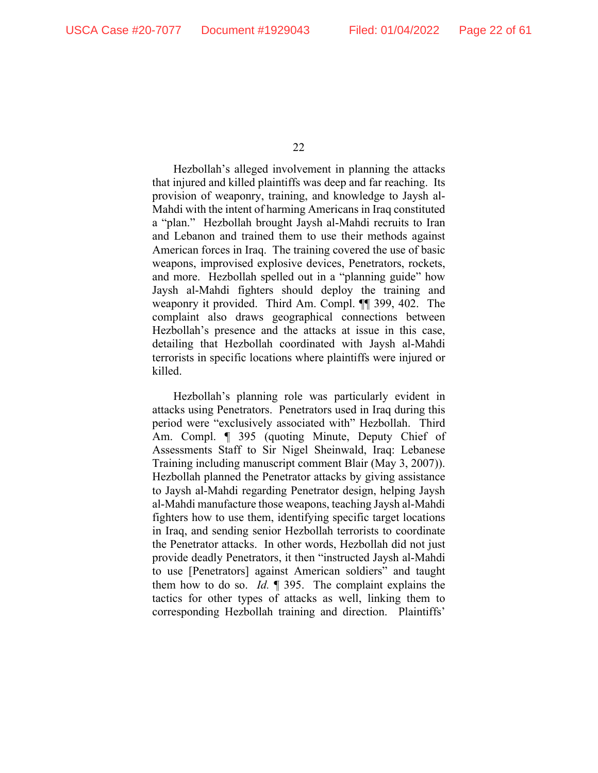Hezbollah's alleged involvement in planning the attacks that injured and killed plaintiffs was deep and far reaching. Its provision of weaponry, training, and knowledge to Jaysh al-Mahdi with the intent of harming Americans in Iraq constituted a "plan." Hezbollah brought Jaysh al-Mahdi recruits to Iran and Lebanon and trained them to use their methods against American forces in Iraq. The training covered the use of basic weapons, improvised explosive devices, Penetrators, rockets, and more. Hezbollah spelled out in a "planning guide" how Jaysh al-Mahdi fighters should deploy the training and weaponry it provided. Third Am. Compl. ¶¶ 399, 402. The complaint also draws geographical connections between Hezbollah's presence and the attacks at issue in this case, detailing that Hezbollah coordinated with Jaysh al-Mahdi terrorists in specific locations where plaintiffs were injured or killed.

Hezbollah's planning role was particularly evident in attacks using Penetrators. Penetrators used in Iraq during this period were "exclusively associated with" Hezbollah. Third Am. Compl. ¶ 395 (quoting Minute, Deputy Chief of Assessments Staff to Sir Nigel Sheinwald, Iraq: Lebanese Training including manuscript comment Blair (May 3, 2007)). Hezbollah planned the Penetrator attacks by giving assistance to Jaysh al-Mahdi regarding Penetrator design, helping Jaysh al-Mahdi manufacture those weapons, teaching Jaysh al-Mahdi fighters how to use them, identifying specific target locations in Iraq, and sending senior Hezbollah terrorists to coordinate the Penetrator attacks. In other words, Hezbollah did not just provide deadly Penetrators, it then "instructed Jaysh al-Mahdi to use [Penetrators] against American soldiers" and taught them how to do so. *Id.* ¶ 395. The complaint explains the tactics for other types of attacks as well, linking them to corresponding Hezbollah training and direction. Plaintiffs'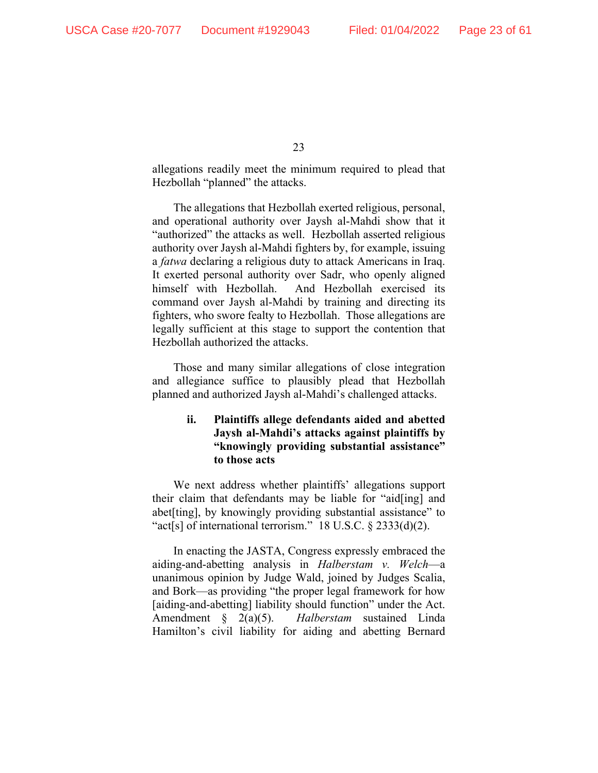allegations readily meet the minimum required to plead that Hezbollah "planned" the attacks.

The allegations that Hezbollah exerted religious, personal, and operational authority over Jaysh al-Mahdi show that it "authorized" the attacks as well. Hezbollah asserted religious authority over Jaysh al-Mahdi fighters by, for example, issuing a *fatwa* declaring a religious duty to attack Americans in Iraq. It exerted personal authority over Sadr, who openly aligned himself with Hezbollah. And Hezbollah exercised its command over Jaysh al-Mahdi by training and directing its fighters, who swore fealty to Hezbollah. Those allegations are legally sufficient at this stage to support the contention that Hezbollah authorized the attacks.

Those and many similar allegations of close integration and allegiance suffice to plausibly plead that Hezbollah planned and authorized Jaysh al-Mahdi's challenged attacks.

# **ii. Plaintiffs allege defendants aided and abetted Jaysh al-Mahdi's attacks against plaintiffs by "knowingly providing substantial assistance" to those acts**

We next address whether plaintiffs' allegations support their claim that defendants may be liable for "aid[ing] and abet[ting], by knowingly providing substantial assistance" to "act[s] of international terrorism." 18 U.S.C. § 2333(d)(2).

In enacting the JASTA, Congress expressly embraced the aiding-and-abetting analysis in *Halberstam v. Welch*—a unanimous opinion by Judge Wald, joined by Judges Scalia, and Bork—as providing "the proper legal framework for how [aiding-and-abetting] liability should function" under the Act. Amendment § 2(a)(5). *Halberstam* sustained Linda Hamilton's civil liability for aiding and abetting Bernard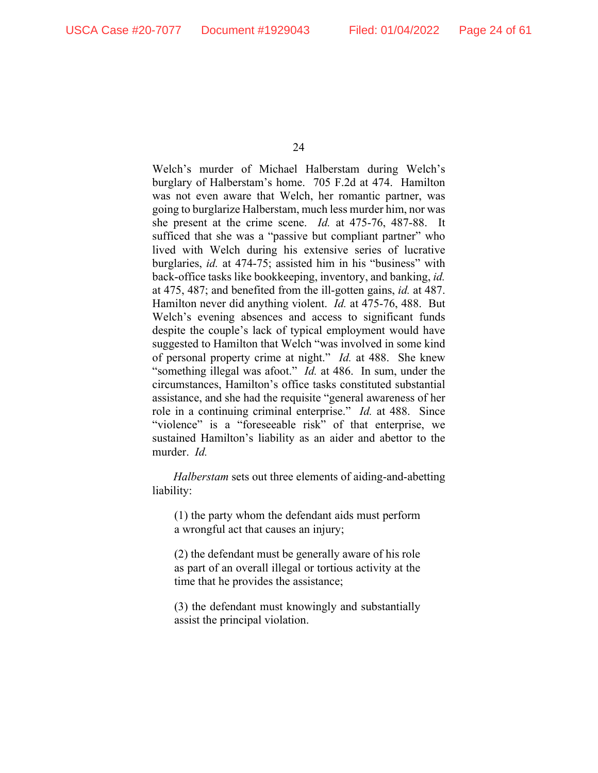Welch's murder of Michael Halberstam during Welch's burglary of Halberstam's home. 705 F.2d at 474. Hamilton was not even aware that Welch, her romantic partner, was going to burglarize Halberstam, much less murder him, nor was she present at the crime scene. *Id.* at 475-76, 487-88. It sufficed that she was a "passive but compliant partner" who lived with Welch during his extensive series of lucrative burglaries, *id.* at 474-75; assisted him in his "business" with back-office tasks like bookkeeping, inventory, and banking, *id.*  at 475, 487; and benefited from the ill-gotten gains, *id.* at 487. Hamilton never did anything violent. *Id.* at 475-76, 488. But Welch's evening absences and access to significant funds despite the couple's lack of typical employment would have suggested to Hamilton that Welch "was involved in some kind of personal property crime at night." *Id.* at 488. She knew "something illegal was afoot." *Id.* at 486. In sum, under the circumstances, Hamilton's office tasks constituted substantial assistance, and she had the requisite "general awareness of her role in a continuing criminal enterprise." *Id.* at 488. Since "violence" is a "foreseeable risk" of that enterprise, we sustained Hamilton's liability as an aider and abettor to the murder. *Id.* 

*Halberstam* sets out three elements of aiding-and-abetting liability:

(1) the party whom the defendant aids must perform a wrongful act that causes an injury;

(2) the defendant must be generally aware of his role as part of an overall illegal or tortious activity at the time that he provides the assistance;

(3) the defendant must knowingly and substantially assist the principal violation.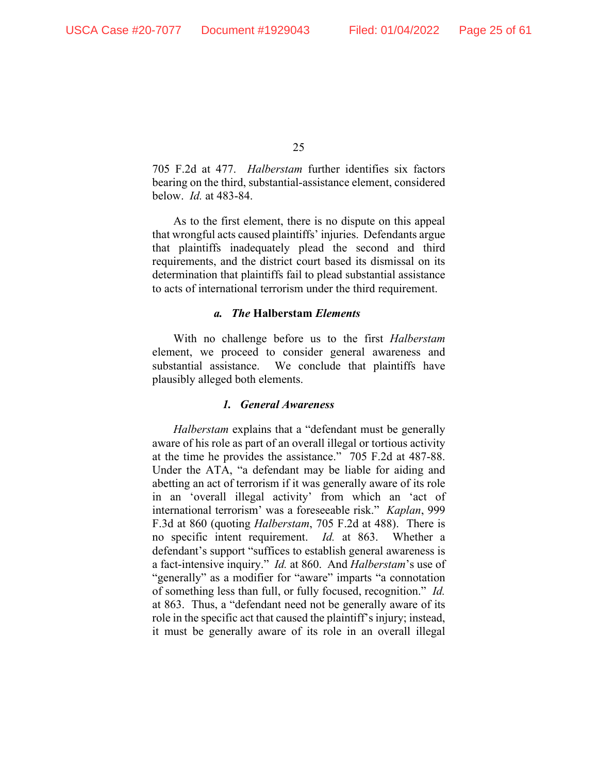705 F.2d at 477. *Halberstam* further identifies six factors bearing on the third, substantial-assistance element, considered below. *Id.* at 483-84.

As to the first element, there is no dispute on this appeal that wrongful acts caused plaintiffs' injuries. Defendants argue that plaintiffs inadequately plead the second and third requirements, and the district court based its dismissal on its determination that plaintiffs fail to plead substantial assistance to acts of international terrorism under the third requirement.

#### *a. The* **Halberstam** *Elements*

With no challenge before us to the first *Halberstam*  element, we proceed to consider general awareness and substantial assistance. We conclude that plaintiffs have plausibly alleged both elements.

#### *1. General Awareness*

*Halberstam* explains that a "defendant must be generally aware of his role as part of an overall illegal or tortious activity at the time he provides the assistance." 705 F.2d at 487-88. Under the ATA, "a defendant may be liable for aiding and abetting an act of terrorism if it was generally aware of its role in an 'overall illegal activity' from which an 'act of international terrorism' was a foreseeable risk." *Kaplan*, 999 F.3d at 860 (quoting *Halberstam*, 705 F.2d at 488). There is no specific intent requirement. *Id.* at 863. Whether a defendant's support "suffices to establish general awareness is a fact-intensive inquiry." *Id.* at 860.And *Halberstam*'s use of "generally" as a modifier for "aware" imparts "a connotation of something less than full, or fully focused, recognition." *Id.*  at 863. Thus, a "defendant need not be generally aware of its role in the specific act that caused the plaintiff's injury; instead, it must be generally aware of its role in an overall illegal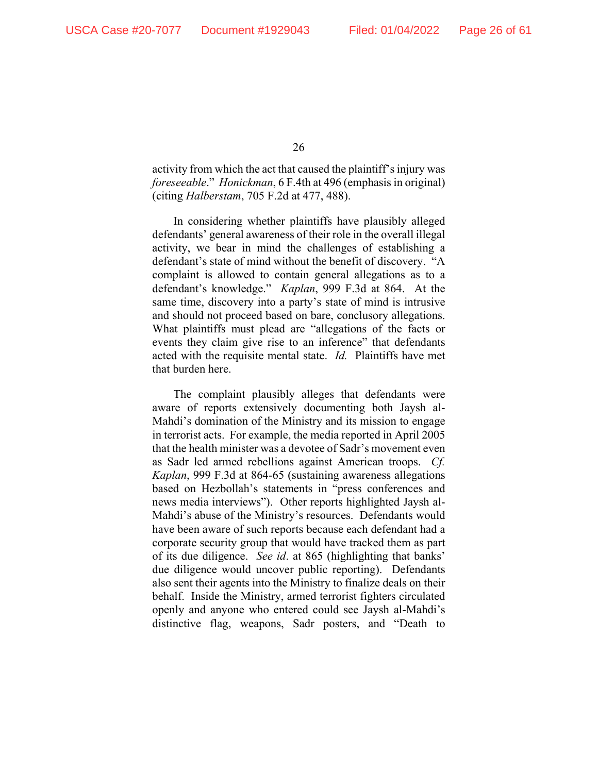activity from which the act that caused the plaintiff's injury was *foreseeable*." *Honickman*, 6 F.4th at 496 (emphasis in original) (citing *Halberstam*, 705 F.2d at 477, 488).

In considering whether plaintiffs have plausibly alleged defendants' general awareness of their role in the overall illegal activity, we bear in mind the challenges of establishing a defendant's state of mind without the benefit of discovery. "A complaint is allowed to contain general allegations as to a defendant's knowledge." *Kaplan*, 999 F.3d at 864. At the same time, discovery into a party's state of mind is intrusive and should not proceed based on bare, conclusory allegations. What plaintiffs must plead are "allegations of the facts or events they claim give rise to an inference" that defendants acted with the requisite mental state. *Id.* Plaintiffs have met that burden here.

The complaint plausibly alleges that defendants were aware of reports extensively documenting both Jaysh al-Mahdi's domination of the Ministry and its mission to engage in terrorist acts. For example, the media reported in April 2005 that the health minister was a devotee of Sadr's movement even as Sadr led armed rebellions against American troops. *Cf. Kaplan*, 999 F.3d at 864-65 (sustaining awareness allegations based on Hezbollah's statements in "press conferences and news media interviews"). Other reports highlighted Jaysh al-Mahdi's abuse of the Ministry's resources. Defendants would have been aware of such reports because each defendant had a corporate security group that would have tracked them as part of its due diligence. *See id*. at 865 (highlighting that banks' due diligence would uncover public reporting).Defendants also sent their agents into the Ministry to finalize deals on their behalf. Inside the Ministry, armed terrorist fighters circulated openly and anyone who entered could see Jaysh al-Mahdi's distinctive flag, weapons, Sadr posters, and "Death to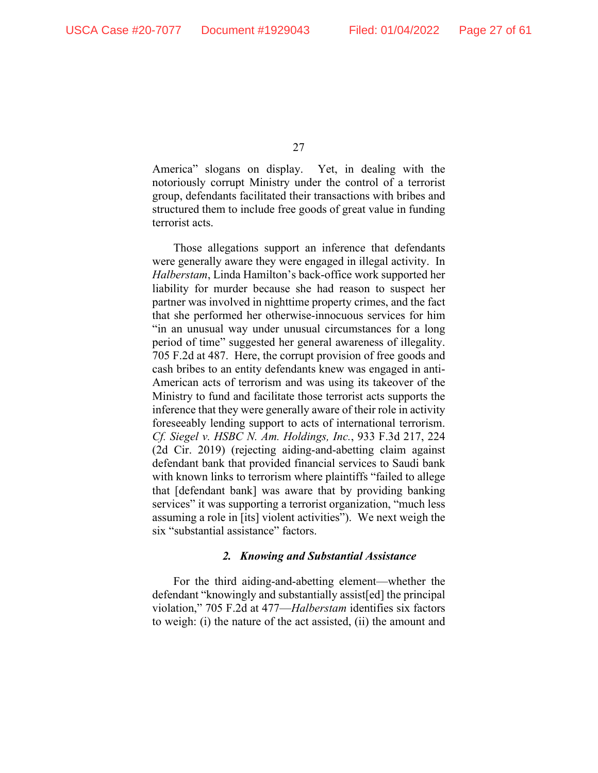America" slogans on display. Yet, in dealing with the notoriously corrupt Ministry under the control of a terrorist group, defendants facilitated their transactions with bribes and structured them to include free goods of great value in funding terrorist acts.

Those allegations support an inference that defendants were generally aware they were engaged in illegal activity. In *Halberstam*, Linda Hamilton's back-office work supported her liability for murder because she had reason to suspect her partner was involved in nighttime property crimes, and the fact that she performed her otherwise-innocuous services for him "in an unusual way under unusual circumstances for a long period of time" suggested her general awareness of illegality. 705 F.2d at 487. Here, the corrupt provision of free goods and cash bribes to an entity defendants knew was engaged in anti-American acts of terrorism and was using its takeover of the Ministry to fund and facilitate those terrorist acts supports the inference that they were generally aware of their role in activity foreseeably lending support to acts of international terrorism. *Cf. Siegel v. HSBC N. Am. Holdings, Inc.*, 933 F.3d 217, 224 (2d Cir. 2019) (rejecting aiding-and-abetting claim against defendant bank that provided financial services to Saudi bank with known links to terrorism where plaintiffs "failed to allege that [defendant bank] was aware that by providing banking services" it was supporting a terrorist organization, "much less assuming a role in [its] violent activities"). We next weigh the six "substantial assistance" factors.

# *2. Knowing and Substantial Assistance*

For the third aiding-and-abetting element—whether the defendant "knowingly and substantially assist[ed] the principal violation," 705 F.2d at 477—*Halberstam* identifies six factors to weigh: (i) the nature of the act assisted, (ii) the amount and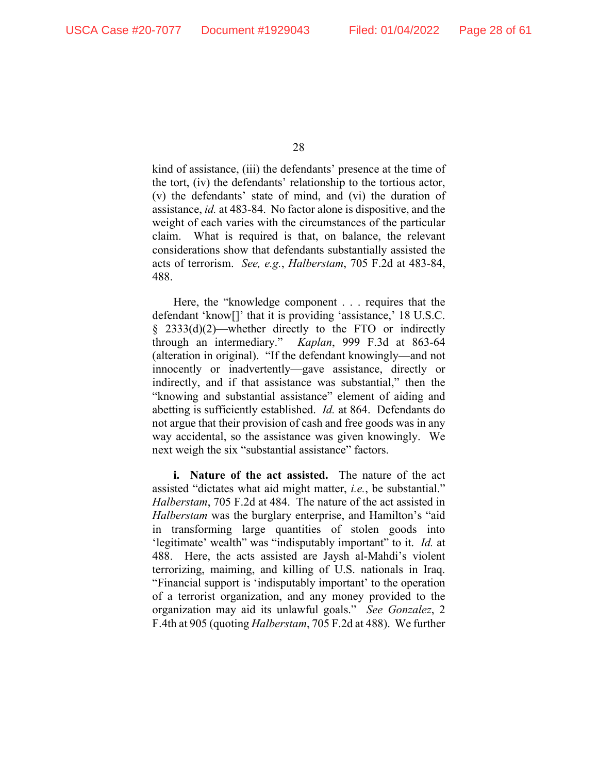kind of assistance, (iii) the defendants' presence at the time of the tort, (iv) the defendants' relationship to the tortious actor, (v) the defendants' state of mind, and (vi) the duration of assistance, *id.* at 483-84. No factor alone is dispositive, and the weight of each varies with the circumstances of the particular claim. What is required is that, on balance, the relevant considerations show that defendants substantially assisted the acts of terrorism. *See, e.g.*, *Halberstam*, 705 F.2d at 483-84, 488.

Here, the "knowledge component . . . requires that the defendant 'know[]' that it is providing 'assistance,' 18 U.S.C. § 2333(d)(2)—whether directly to the FTO or indirectly through an intermediary." *Kaplan*, 999 F.3d at 863-64 (alteration in original). "If the defendant knowingly—and not innocently or inadvertently—gave assistance, directly or indirectly, and if that assistance was substantial," then the "knowing and substantial assistance" element of aiding and abetting is sufficiently established. *Id.* at 864. Defendants do not argue that their provision of cash and free goods was in any way accidental, so the assistance was given knowingly. We next weigh the six "substantial assistance" factors.

**i. Nature of the act assisted.** The nature of the act assisted "dictates what aid might matter, *i.e.*, be substantial." *Halberstam*, 705 F.2d at 484. The nature of the act assisted in *Halberstam* was the burglary enterprise, and Hamilton's "aid in transforming large quantities of stolen goods into 'legitimate' wealth" was "indisputably important" to it. *Id.* at 488. Here, the acts assisted are Jaysh al-Mahdi's violent terrorizing, maiming, and killing of U.S. nationals in Iraq. "Financial support is 'indisputably important' to the operation of a terrorist organization, and any money provided to the organization may aid its unlawful goals." *See Gonzalez*, 2 F.4th at 905 (quoting *Halberstam*, 705 F.2d at 488). We further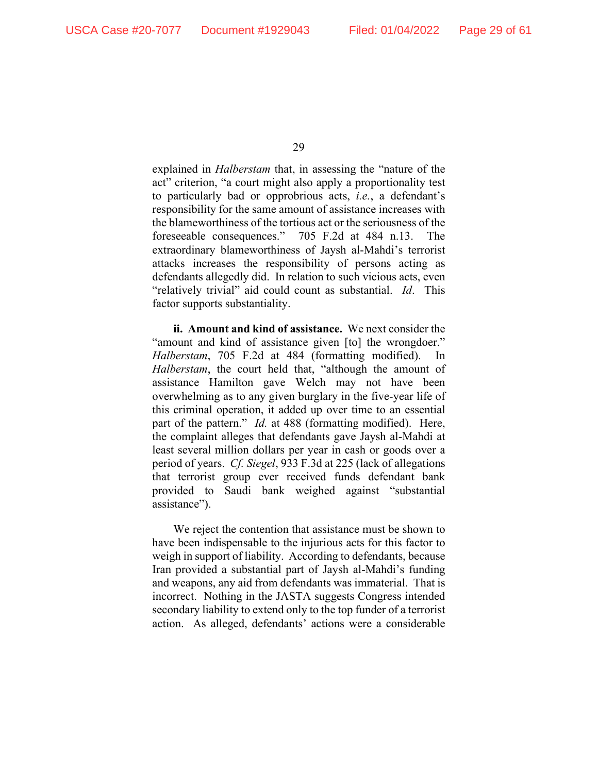explained in *Halberstam* that, in assessing the "nature of the act" criterion, "a court might also apply a proportionality test to particularly bad or opprobrious acts, *i.e.*, a defendant's responsibility for the same amount of assistance increases with the blameworthiness of the tortious act or the seriousness of the foreseeable consequences." 705 F.2d at 484 n.13. The extraordinary blameworthiness of Jaysh al-Mahdi's terrorist attacks increases the responsibility of persons acting as defendants allegedly did. In relation to such vicious acts, even "relatively trivial" aid could count as substantial. *Id*. This factor supports substantiality.

**ii. Amount and kind of assistance.** We next consider the "amount and kind of assistance given [to] the wrongdoer." Halberstam, 705 F.2d at 484 (formatting modified). *Halberstam*, the court held that, "although the amount of assistance Hamilton gave Welch may not have been overwhelming as to any given burglary in the five-year life of this criminal operation, it added up over time to an essential part of the pattern." *Id.* at 488 (formatting modified). Here, the complaint alleges that defendants gave Jaysh al-Mahdi at least several million dollars per year in cash or goods over a period of years. *Cf. Siegel*, 933 F.3d at 225 (lack of allegations that terrorist group ever received funds defendant bank provided to Saudi bank weighed against "substantial assistance").

We reject the contention that assistance must be shown to have been indispensable to the injurious acts for this factor to weigh in support of liability. According to defendants, because Iran provided a substantial part of Jaysh al-Mahdi's funding and weapons, any aid from defendants was immaterial. That is incorrect. Nothing in the JASTA suggests Congress intended secondary liability to extend only to the top funder of a terrorist action. As alleged, defendants' actions were a considerable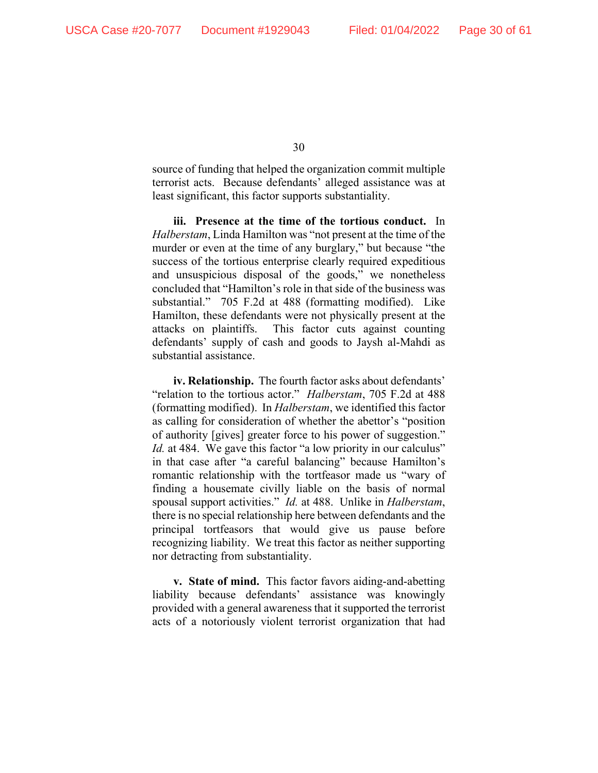source of funding that helped the organization commit multiple terrorist acts. Because defendants' alleged assistance was at least significant, this factor supports substantiality.

**iii. Presence at the time of the tortious conduct.** In *Halberstam*, Linda Hamilton was "not present at the time of the murder or even at the time of any burglary," but because "the success of the tortious enterprise clearly required expeditious and unsuspicious disposal of the goods," we nonetheless concluded that "Hamilton's role in that side of the business was substantial." 705 F.2d at 488 (formatting modified). Like Hamilton, these defendants were not physically present at the attacks on plaintiffs. This factor cuts against counting defendants' supply of cash and goods to Jaysh al-Mahdi as substantial assistance.

**iv. Relationship.** The fourth factor asks about defendants' "relation to the tortious actor." *Halberstam*, 705 F.2d at 488 (formatting modified). In *Halberstam*, we identified this factor as calling for consideration of whether the abettor's "position of authority [gives] greater force to his power of suggestion." *Id.* at 484. We gave this factor "a low priority in our calculus" in that case after "a careful balancing" because Hamilton's romantic relationship with the tortfeasor made us "wary of finding a housemate civilly liable on the basis of normal spousal support activities." *Id.* at 488. Unlike in *Halberstam*, there is no special relationship here between defendants and the principal tortfeasors that would give us pause before recognizing liability. We treat this factor as neither supporting nor detracting from substantiality.

**v. State of mind.** This factor favors aiding-and-abetting liability because defendants' assistance was knowingly provided with a general awareness that it supported the terrorist acts of a notoriously violent terrorist organization that had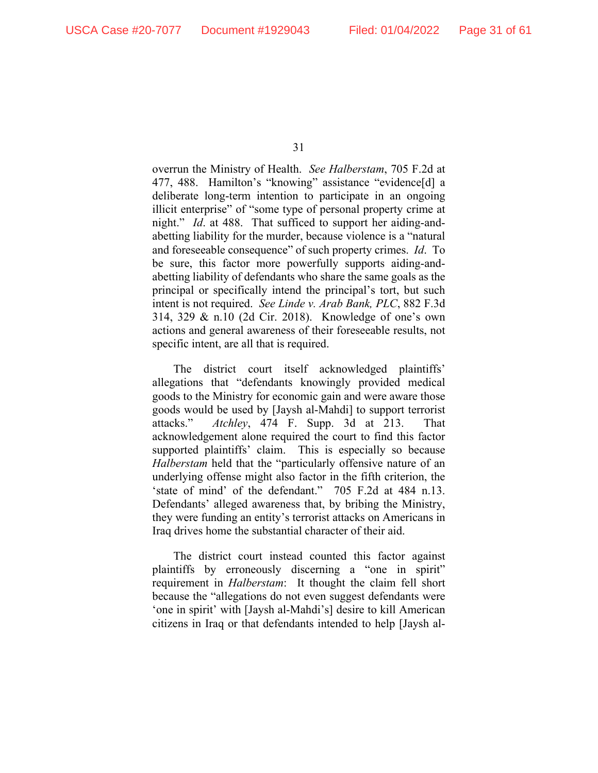overrun the Ministry of Health. *See Halberstam*, 705 F.2d at 477, 488. Hamilton's "knowing" assistance "evidence[d] a deliberate long-term intention to participate in an ongoing illicit enterprise" of "some type of personal property crime at night." *Id*. at 488. That sufficed to support her aiding-andabetting liability for the murder, because violence is a "natural and foreseeable consequence" of such property crimes. *Id*. To be sure, this factor more powerfully supports aiding-andabetting liability of defendants who share the same goals as the principal or specifically intend the principal's tort, but such intent is not required. *See Linde v. Arab Bank, PLC*, 882 F.3d 314, 329 & n.10 (2d Cir. 2018). Knowledge of one's own actions and general awareness of their foreseeable results, not specific intent, are all that is required.

The district court itself acknowledged plaintiffs' allegations that "defendants knowingly provided medical goods to the Ministry for economic gain and were aware those goods would be used by [Jaysh al-Mahdi] to support terrorist attacks." *Atchley*, 474 F. Supp. 3d at 213. That acknowledgement alone required the court to find this factor supported plaintiffs' claim. This is especially so because *Halberstam* held that the "particularly offensive nature of an underlying offense might also factor in the fifth criterion, the 'state of mind' of the defendant." 705 F.2d at 484 n.13. Defendants' alleged awareness that, by bribing the Ministry, they were funding an entity's terrorist attacks on Americans in Iraq drives home the substantial character of their aid.

The district court instead counted this factor against plaintiffs by erroneously discerning a "one in spirit" requirement in *Halberstam*: It thought the claim fell short because the "allegations do not even suggest defendants were 'one in spirit' with [Jaysh al-Mahdi's] desire to kill American citizens in Iraq or that defendants intended to help [Jaysh al-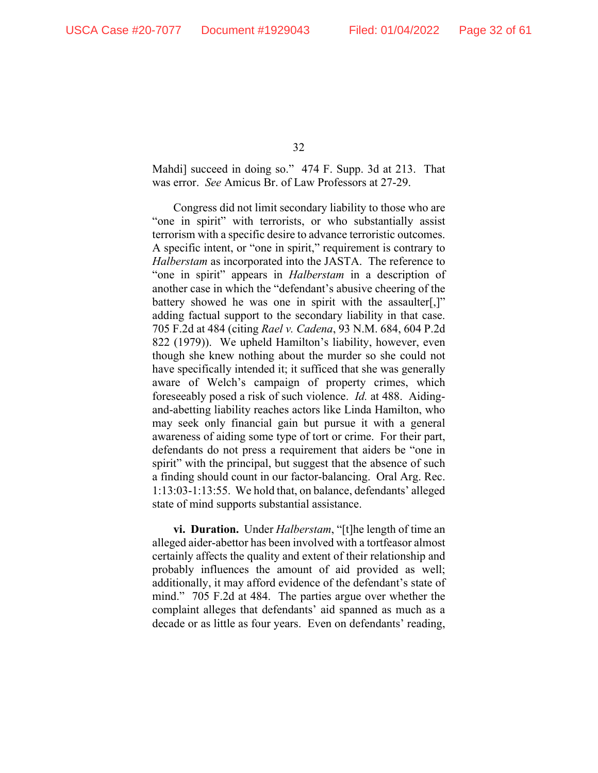Mahdi] succeed in doing so." 474 F. Supp. 3d at 213. That was error. *See* Amicus Br. of Law Professors at 27-29.

Congress did not limit secondary liability to those who are "one in spirit" with terrorists, or who substantially assist terrorism with a specific desire to advance terroristic outcomes. A specific intent, or "one in spirit," requirement is contrary to *Halberstam* as incorporated into the JASTA. The reference to "one in spirit" appears in *Halberstam* in a description of another case in which the "defendant's abusive cheering of the battery showed he was one in spirit with the assaulter[,]" adding factual support to the secondary liability in that case. 705 F.2d at 484 (citing *Rael v. Cadena*, 93 N.M. 684, 604 P.2d 822 (1979)). We upheld Hamilton's liability, however, even though she knew nothing about the murder so she could not have specifically intended it; it sufficed that she was generally aware of Welch's campaign of property crimes, which foreseeably posed a risk of such violence. *Id.* at 488. Aidingand-abetting liability reaches actors like Linda Hamilton, who may seek only financial gain but pursue it with a general awareness of aiding some type of tort or crime. For their part, defendants do not press a requirement that aiders be "one in spirit" with the principal, but suggest that the absence of such a finding should count in our factor-balancing. Oral Arg. Rec. 1:13:03-1:13:55. We hold that, on balance, defendants' alleged state of mind supports substantial assistance.

**vi. Duration.** Under *Halberstam*, "[t]he length of time an alleged aider-abettor has been involved with a tortfeasor almost certainly affects the quality and extent of their relationship and probably influences the amount of aid provided as well; additionally, it may afford evidence of the defendant's state of mind." 705 F.2d at 484. The parties argue over whether the complaint alleges that defendants' aid spanned as much as a decade or as little as four years. Even on defendants' reading,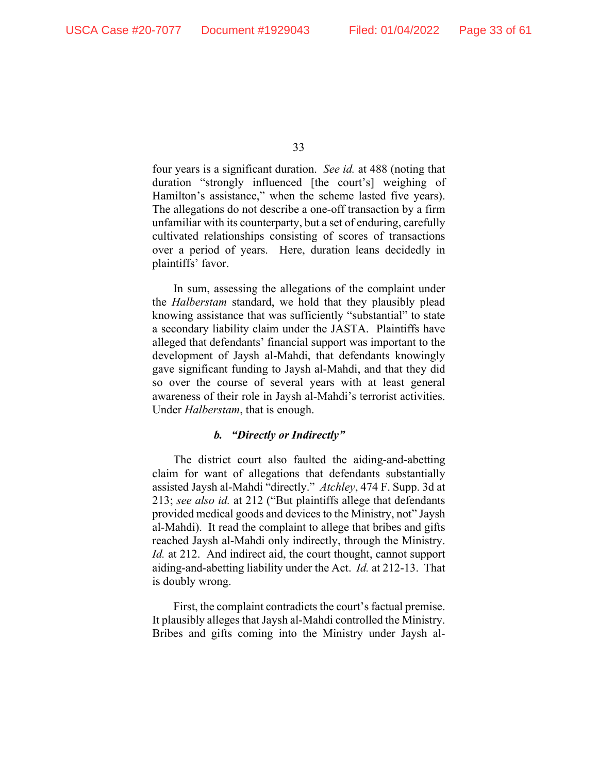four years is a significant duration. *See id.* at 488 (noting that duration "strongly influenced [the court's] weighing of Hamilton's assistance," when the scheme lasted five years). The allegations do not describe a one-off transaction by a firm unfamiliar with its counterparty, but a set of enduring, carefully cultivated relationships consisting of scores of transactions over a period of years. Here, duration leans decidedly in plaintiffs' favor.

In sum, assessing the allegations of the complaint under the *Halberstam* standard, we hold that they plausibly plead knowing assistance that was sufficiently "substantial" to state a secondary liability claim under the JASTA. Plaintiffs have alleged that defendants' financial support was important to the development of Jaysh al-Mahdi, that defendants knowingly gave significant funding to Jaysh al-Mahdi, and that they did so over the course of several years with at least general awareness of their role in Jaysh al-Mahdi's terrorist activities. Under *Halberstam*, that is enough.

# *b. "Directly or Indirectly"*

The district court also faulted the aiding-and-abetting claim for want of allegations that defendants substantially assisted Jaysh al-Mahdi "directly." *Atchley*, 474 F. Supp. 3d at 213; *see also id.* at 212 ("But plaintiffs allege that defendants provided medical goods and devices to the Ministry, not" Jaysh al-Mahdi). It read the complaint to allege that bribes and gifts reached Jaysh al-Mahdi only indirectly, through the Ministry. *Id.* at 212. And indirect aid, the court thought, cannot support aiding-and-abetting liability under the Act. *Id.* at 212-13. That is doubly wrong.

First, the complaint contradicts the court's factual premise. It plausibly alleges that Jaysh al-Mahdi controlled the Ministry. Bribes and gifts coming into the Ministry under Jaysh al-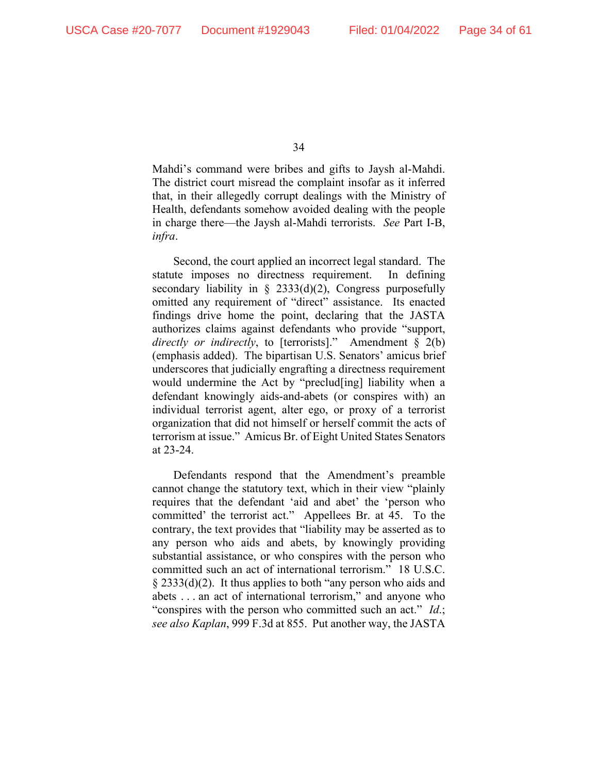Mahdi's command were bribes and gifts to Jaysh al-Mahdi. The district court misread the complaint insofar as it inferred that, in their allegedly corrupt dealings with the Ministry of Health, defendants somehow avoided dealing with the people in charge there—the Jaysh al-Mahdi terrorists. *See* Part I-B, *infra*.

Second, the court applied an incorrect legal standard. The statute imposes no directness requirement. In defining secondary liability in § 2333(d)(2), Congress purposefully omitted any requirement of "direct" assistance. Its enacted findings drive home the point, declaring that the JASTA authorizes claims against defendants who provide "support, *directly or indirectly*, to [terrorists]." Amendment § 2(b) (emphasis added). The bipartisan U.S. Senators' amicus brief underscores that judicially engrafting a directness requirement would undermine the Act by "preclud[ing] liability when a defendant knowingly aids-and-abets (or conspires with) an individual terrorist agent, alter ego, or proxy of a terrorist organization that did not himself or herself commit the acts of terrorism at issue." Amicus Br. of Eight United States Senators at 23-24.

Defendants respond that the Amendment's preamble cannot change the statutory text, which in their view "plainly requires that the defendant 'aid and abet' the 'person who committed' the terrorist act." Appellees Br. at 45. To the contrary, the text provides that "liability may be asserted as to any person who aids and abets, by knowingly providing substantial assistance, or who conspires with the person who committed such an act of international terrorism." 18 U.S.C. § 2333(d)(2). It thus applies to both "any person who aids and abets . . . an act of international terrorism," and anyone who "conspires with the person who committed such an act." *Id*.; *see also Kaplan*, 999 F.3d at 855. Put another way, the JASTA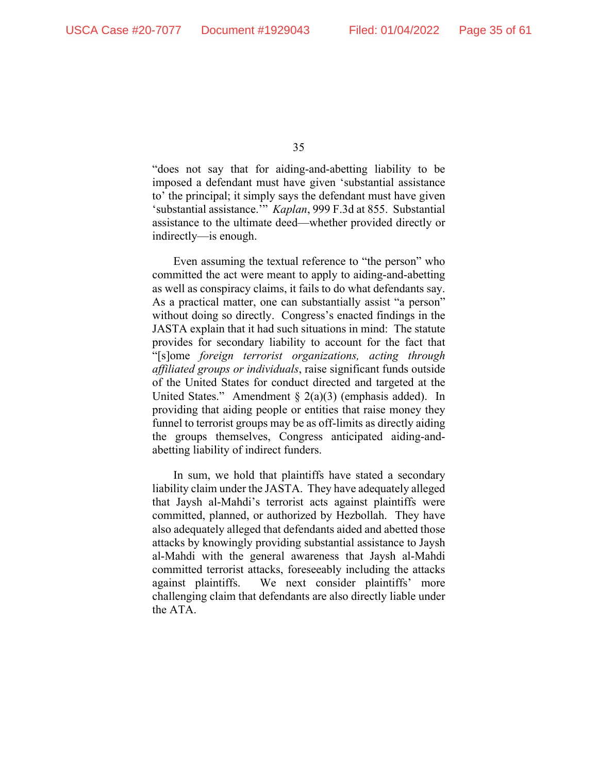"does not say that for aiding-and-abetting liability to be imposed a defendant must have given 'substantial assistance to' the principal; it simply says the defendant must have given 'substantial assistance.'" *Kaplan*, 999 F.3d at 855. Substantial assistance to the ultimate deed—whether provided directly or indirectly—is enough.

Even assuming the textual reference to "the person" who committed the act were meant to apply to aiding-and-abetting as well as conspiracy claims, it fails to do what defendants say. As a practical matter, one can substantially assist "a person" without doing so directly. Congress's enacted findings in the JASTA explain that it had such situations in mind: The statute provides for secondary liability to account for the fact that "[s]ome *foreign terrorist organizations, acting through affiliated groups or individuals*, raise significant funds outside of the United States for conduct directed and targeted at the United States." Amendment  $\S$  2(a)(3) (emphasis added). In providing that aiding people or entities that raise money they funnel to terrorist groups may be as off-limits as directly aiding the groups themselves, Congress anticipated aiding-andabetting liability of indirect funders.

In sum, we hold that plaintiffs have stated a secondary liability claim under the JASTA. They have adequately alleged that Jaysh al-Mahdi's terrorist acts against plaintiffs were committed, planned, or authorized by Hezbollah. They have also adequately alleged that defendants aided and abetted those attacks by knowingly providing substantial assistance to Jaysh al-Mahdi with the general awareness that Jaysh al-Mahdi committed terrorist attacks, foreseeably including the attacks against plaintiffs. We next consider plaintiffs' more challenging claim that defendants are also directly liable under the ATA.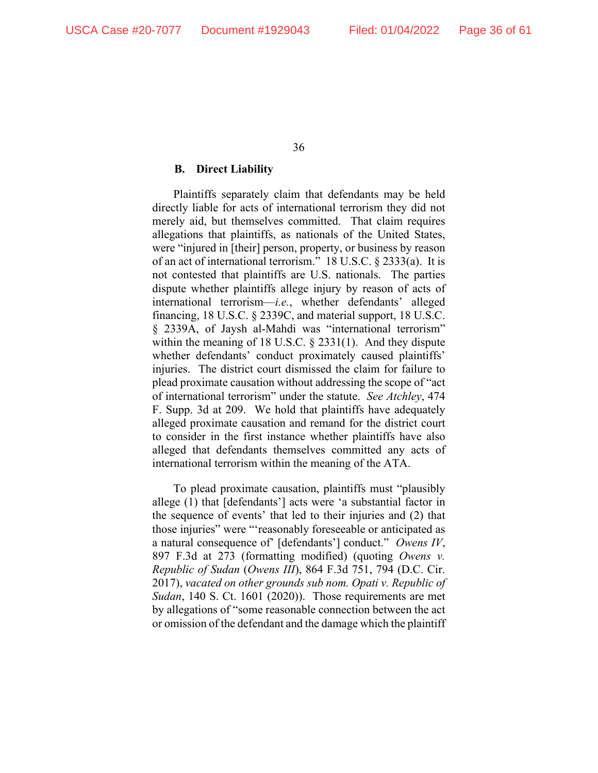## **B. Direct Liability**

Plaintiffs separately claim that defendants may be held directly liable for acts of international terrorism they did not merely aid, but themselves committed. That claim requires allegations that plaintiffs, as nationals of the United States, were "injured in [their] person, property, or business by reason of an act of international terrorism." 18 U.S.C. § 2333(a). It is not contested that plaintiffs are U.S. nationals. The parties dispute whether plaintiffs allege injury by reason of acts of international terrorism—*i.e.*, whether defendants' alleged financing, 18 U.S.C. § 2339C, and material support, 18 U.S.C. § 2339A, of Jaysh al-Mahdi was "international terrorism" within the meaning of 18 U.S.C. § 2331(1). And they dispute whether defendants' conduct proximately caused plaintiffs' injuries. The district court dismissed the claim for failure to plead proximate causation without addressing the scope of "act of international terrorism" under the statute. *See Atchley*, 474 F. Supp. 3d at 209.We hold that plaintiffs have adequately alleged proximate causation and remand for the district court to consider in the first instance whether plaintiffs have also alleged that defendants themselves committed any acts of international terrorism within the meaning of the ATA.

To plead proximate causation, plaintiffs must "plausibly allege (1) that [defendants'] acts were 'a substantial factor in the sequence of events' that led to their injuries and (2) that those injuries" were "'reasonably foreseeable or anticipated as a natural consequence of' [defendants'] conduct." *Owens IV*, 897 F.3d at 273 (formatting modified) (quoting *Owens v. Republic of Sudan* (*Owens III*), 864 F.3d 751, 794 (D.C. Cir. 2017), *vacated on other grounds sub nom. Opati v. Republic of Sudan*, 140 S. Ct. 1601 (2020)). Those requirements are met by allegations of "some reasonable connection between the act or omission of the defendant and the damage which the plaintiff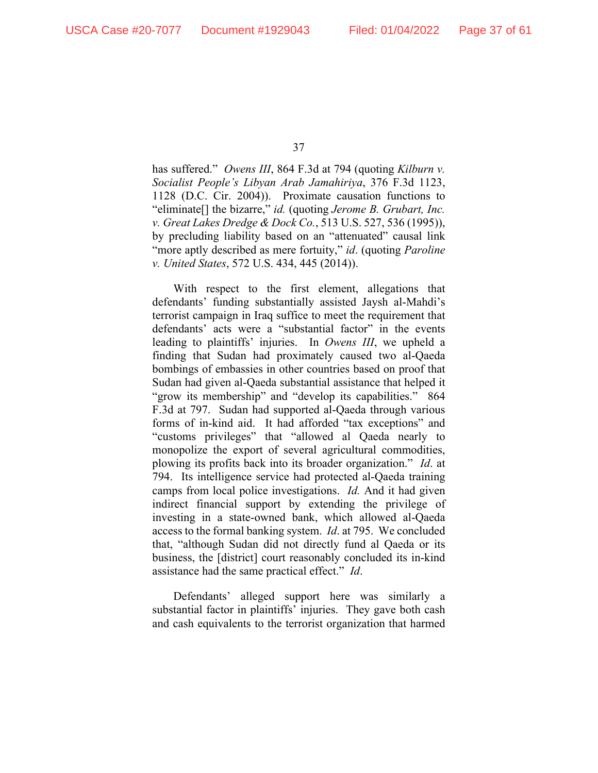has suffered." *Owens III*, 864 F.3d at 794 (quoting *Kilburn v. Socialist People's Libyan Arab Jamahiriya*, 376 F.3d 1123, 1128 (D.C. Cir. 2004)). Proximate causation functions to "eliminate[] the bizarre," *id.* (quoting *Jerome B. Grubart, Inc. v. Great Lakes Dredge & Dock Co.*, 513 U.S. 527, 536 (1995)), by precluding liability based on an "attenuated" causal link "more aptly described as mere fortuity," *id*. (quoting *Paroline v. United States*, 572 U.S. 434, 445 (2014)).

With respect to the first element, allegations that defendants' funding substantially assisted Jaysh al-Mahdi's terrorist campaign in Iraq suffice to meet the requirement that defendants' acts were a "substantial factor" in the events leading to plaintiffs' injuries. In *Owens III*, we upheld a finding that Sudan had proximately caused two al-Qaeda bombings of embassies in other countries based on proof that Sudan had given al-Qaeda substantial assistance that helped it "grow its membership" and "develop its capabilities." 864 F.3d at 797. Sudan had supported al-Qaeda through various forms of in-kind aid. It had afforded "tax exceptions" and "customs privileges" that "allowed al Qaeda nearly to monopolize the export of several agricultural commodities, plowing its profits back into its broader organization." *Id*. at 794. Its intelligence service had protected al-Qaeda training camps from local police investigations. *Id.* And it had given indirect financial support by extending the privilege of investing in a state-owned bank, which allowed al-Qaeda access to the formal banking system. *Id*. at 795. We concluded that, "although Sudan did not directly fund al Qaeda or its business, the [district] court reasonably concluded its in-kind assistance had the same practical effect." *Id*.

Defendants' alleged support here was similarly a substantial factor in plaintiffs' injuries. They gave both cash and cash equivalents to the terrorist organization that harmed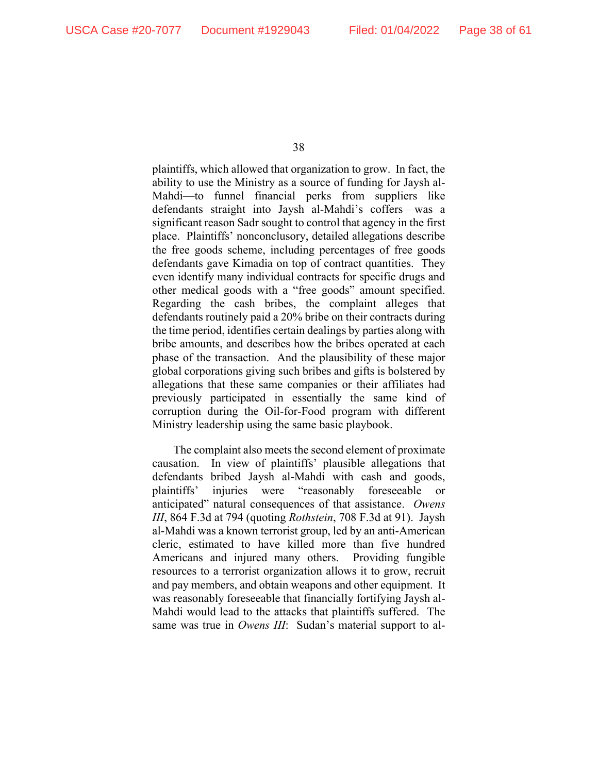plaintiffs, which allowed that organization to grow. In fact, the ability to use the Ministry as a source of funding for Jaysh al-Mahdi—to funnel financial perks from suppliers like defendants straight into Jaysh al-Mahdi's coffers—was a significant reason Sadr sought to control that agency in the first place. Plaintiffs' nonconclusory, detailed allegations describe the free goods scheme, including percentages of free goods defendants gave Kimadia on top of contract quantities. They even identify many individual contracts for specific drugs and other medical goods with a "free goods" amount specified. Regarding the cash bribes, the complaint alleges that defendants routinely paid a 20% bribe on their contracts during the time period, identifies certain dealings by parties along with bribe amounts, and describes how the bribes operated at each phase of the transaction. And the plausibility of these major global corporations giving such bribes and gifts is bolstered by allegations that these same companies or their affiliates had previously participated in essentially the same kind of corruption during the Oil-for-Food program with different Ministry leadership using the same basic playbook.

The complaint also meets the second element of proximate causation. In view of plaintiffs' plausible allegations that defendants bribed Jaysh al-Mahdi with cash and goods, plaintiffs' injuries were "reasonably foreseeable or anticipated" natural consequences of that assistance. *Owens III*, 864 F.3d at 794 (quoting *Rothstein*, 708 F.3d at 91). Jaysh al-Mahdi was a known terrorist group, led by an anti-American cleric, estimated to have killed more than five hundred Americans and injured many others. Providing fungible resources to a terrorist organization allows it to grow, recruit and pay members, and obtain weapons and other equipment. It was reasonably foreseeable that financially fortifying Jaysh al-Mahdi would lead to the attacks that plaintiffs suffered. The same was true in *Owens III*: Sudan's material support to al-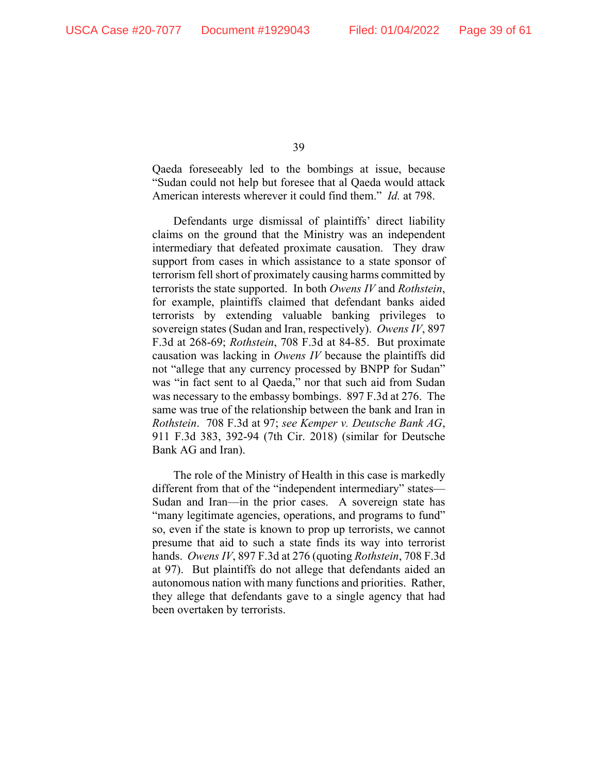Qaeda foreseeably led to the bombings at issue, because "Sudan could not help but foresee that al Qaeda would attack American interests wherever it could find them." *Id.* at 798.

Defendants urge dismissal of plaintiffs' direct liability claims on the ground that the Ministry was an independent intermediary that defeated proximate causation. They draw support from cases in which assistance to a state sponsor of terrorism fell short of proximately causing harms committed by terrorists the state supported. In both *Owens IV* and *Rothstein*, for example, plaintiffs claimed that defendant banks aided terrorists by extending valuable banking privileges to sovereign states (Sudan and Iran, respectively). *Owens IV*, 897 F.3d at 268-69; *Rothstein*, 708 F.3d at 84-85. But proximate causation was lacking in *Owens IV* because the plaintiffs did not "allege that any currency processed by BNPP for Sudan" was "in fact sent to al Qaeda," nor that such aid from Sudan was necessary to the embassy bombings. 897 F.3d at 276. The same was true of the relationship between the bank and Iran in *Rothstein*. 708 F.3d at 97; *see Kemper v. Deutsche Bank AG*, 911 F.3d 383, 392-94 (7th Cir. 2018) (similar for Deutsche Bank AG and Iran).

The role of the Ministry of Health in this case is markedly different from that of the "independent intermediary" states— Sudan and Iran—in the prior cases. A sovereign state has "many legitimate agencies, operations, and programs to fund" so, even if the state is known to prop up terrorists, we cannot presume that aid to such a state finds its way into terrorist hands. *Owens IV*, 897 F.3d at 276 (quoting *Rothstein*, 708 F.3d at 97). But plaintiffs do not allege that defendants aided an autonomous nation with many functions and priorities. Rather, they allege that defendants gave to a single agency that had been overtaken by terrorists.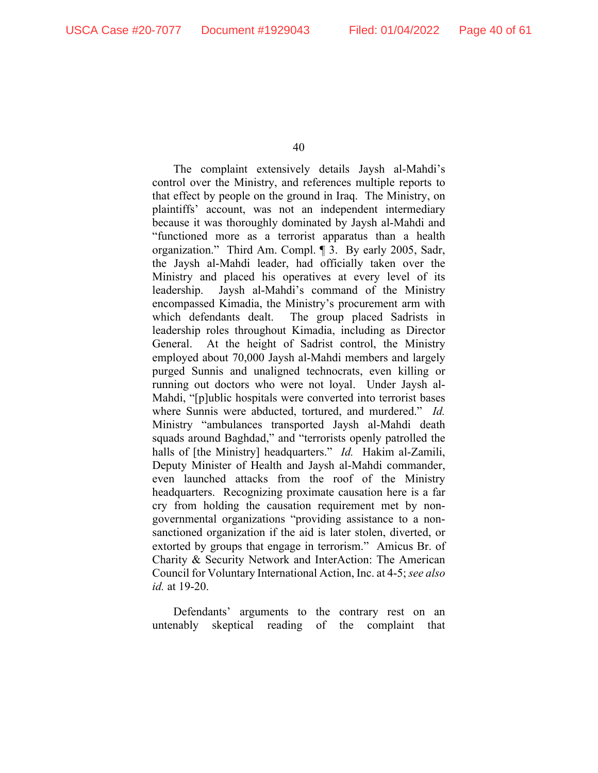The complaint extensively details Jaysh al-Mahdi's control over the Ministry, and references multiple reports to that effect by people on the ground in Iraq. The Ministry, on plaintiffs' account, was not an independent intermediary because it was thoroughly dominated by Jaysh al-Mahdi and "functioned more as a terrorist apparatus than a health organization." Third Am. Compl. ¶ 3. By early 2005, Sadr, the Jaysh al-Mahdi leader, had officially taken over the Ministry and placed his operatives at every level of its leadership. Jaysh al-Mahdi's command of the Ministry encompassed Kimadia, the Ministry's procurement arm with which defendants dealt. The group placed Sadrists in leadership roles throughout Kimadia, including as Director General. At the height of Sadrist control, the Ministry employed about 70,000 Jaysh al-Mahdi members and largely purged Sunnis and unaligned technocrats, even killing or running out doctors who were not loyal. Under Jaysh al-Mahdi, "[p]ublic hospitals were converted into terrorist bases where Sunnis were abducted, tortured, and murdered." *Id.* Ministry "ambulances transported Jaysh al-Mahdi death squads around Baghdad," and "terrorists openly patrolled the halls of [the Ministry] headquarters." *Id.* Hakim al-Zamili, Deputy Minister of Health and Jaysh al-Mahdi commander, even launched attacks from the roof of the Ministry headquarters. Recognizing proximate causation here is a far cry from holding the causation requirement met by nongovernmental organizations "providing assistance to a nonsanctioned organization if the aid is later stolen, diverted, or extorted by groups that engage in terrorism." Amicus Br. of Charity & Security Network and InterAction: The American Council for Voluntary International Action, Inc. at 4-5; *see also id.* at 19-20.

Defendants' arguments to the contrary rest on an untenably skeptical reading of the complaint that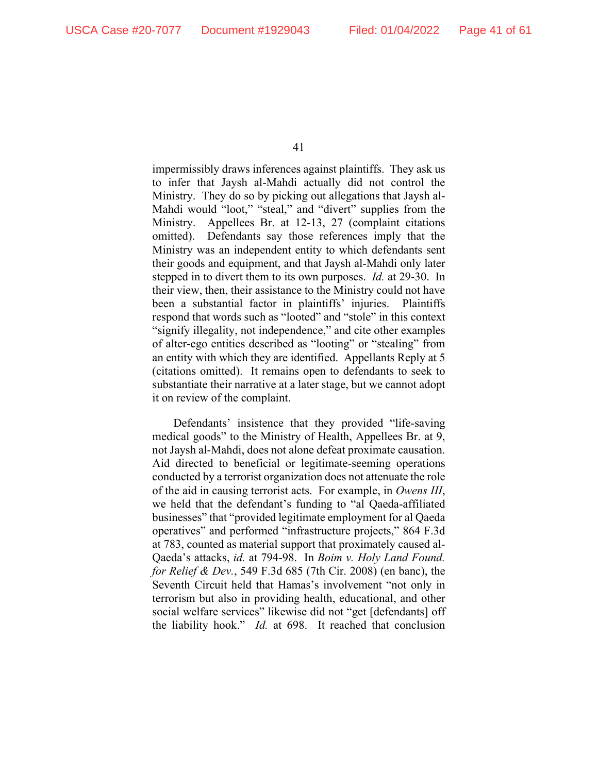impermissibly draws inferences against plaintiffs. They ask us to infer that Jaysh al-Mahdi actually did not control the Ministry. They do so by picking out allegations that Jaysh al-Mahdi would "loot," "steal," and "divert" supplies from the Ministry. Appellees Br. at 12-13, 27 (complaint citations omitted). Defendants say those references imply that the Ministry was an independent entity to which defendants sent their goods and equipment, and that Jaysh al-Mahdi only later stepped in to divert them to its own purposes. *Id.* at 29-30. In their view, then, their assistance to the Ministry could not have been a substantial factor in plaintiffs' injuries. Plaintiffs respond that words such as "looted" and "stole" in this context "signify illegality, not independence," and cite other examples of alter-ego entities described as "looting" or "stealing" from an entity with which they are identified. Appellants Reply at 5 (citations omitted). It remains open to defendants to seek to substantiate their narrative at a later stage, but we cannot adopt it on review of the complaint.

Defendants' insistence that they provided "life-saving medical goods" to the Ministry of Health, Appellees Br. at 9, not Jaysh al-Mahdi, does not alone defeat proximate causation. Aid directed to beneficial or legitimate-seeming operations conducted by a terrorist organization does not attenuate the role of the aid in causing terrorist acts. For example, in *Owens III*, we held that the defendant's funding to "al Qaeda-affiliated businesses" that "provided legitimate employment for al Qaeda operatives" and performed "infrastructure projects," 864 F.3d at 783, counted as material support that proximately caused al-Qaeda's attacks, *id.* at 794-98. In *Boim v. Holy Land Found. for Relief & Dev.*, 549 F.3d 685 (7th Cir. 2008) (en banc), the Seventh Circuit held that Hamas's involvement "not only in terrorism but also in providing health, educational, and other social welfare services" likewise did not "get [defendants] off the liability hook." *Id.* at 698. It reached that conclusion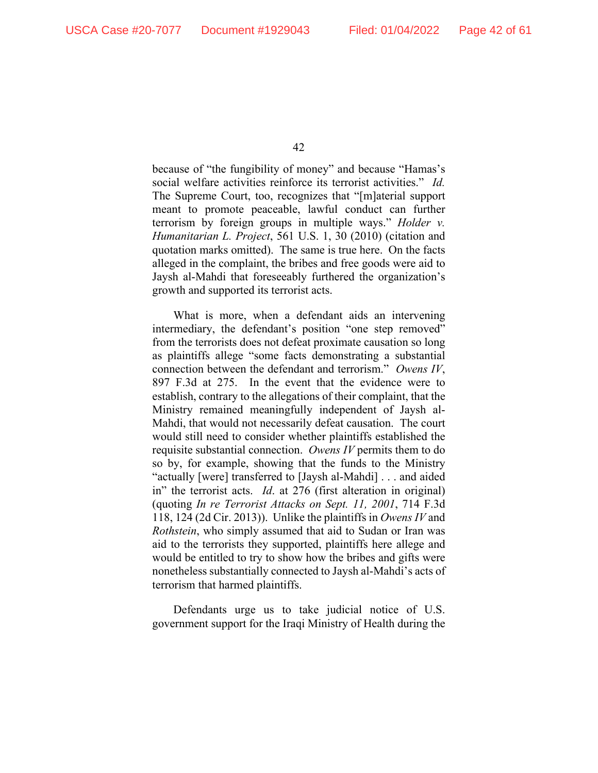because of "the fungibility of money" and because "Hamas's social welfare activities reinforce its terrorist activities." *Id.*  The Supreme Court, too, recognizes that "[m]aterial support meant to promote peaceable, lawful conduct can further terrorism by foreign groups in multiple ways." *Holder v. Humanitarian L. Project*, 561 U.S. 1, 30 (2010) (citation and quotation marks omitted). The same is true here. On the facts alleged in the complaint, the bribes and free goods were aid to Jaysh al-Mahdi that foreseeably furthered the organization's growth and supported its terrorist acts.

What is more, when a defendant aids an intervening intermediary, the defendant's position "one step removed" from the terrorists does not defeat proximate causation so long as plaintiffs allege "some facts demonstrating a substantial connection between the defendant and terrorism." *Owens IV*, 897 F.3d at 275. In the event that the evidence were to establish, contrary to the allegations of their complaint, that the Ministry remained meaningfully independent of Jaysh al-Mahdi, that would not necessarily defeat causation. The court would still need to consider whether plaintiffs established the requisite substantial connection. *Owens IV* permits them to do so by, for example, showing that the funds to the Ministry "actually [were] transferred to [Jaysh al-Mahdi] . . . and aided in" the terrorist acts. *Id*. at 276 (first alteration in original) (quoting *In re Terrorist Attacks on Sept. 11, 2001*, 714 F.3d 118, 124 (2d Cir. 2013)). Unlike the plaintiffs in *Owens IV* and *Rothstein*, who simply assumed that aid to Sudan or Iran was aid to the terrorists they supported, plaintiffs here allege and would be entitled to try to show how the bribes and gifts were nonetheless substantially connected to Jaysh al-Mahdi's acts of terrorism that harmed plaintiffs.

Defendants urge us to take judicial notice of U.S. government support for the Iraqi Ministry of Health during the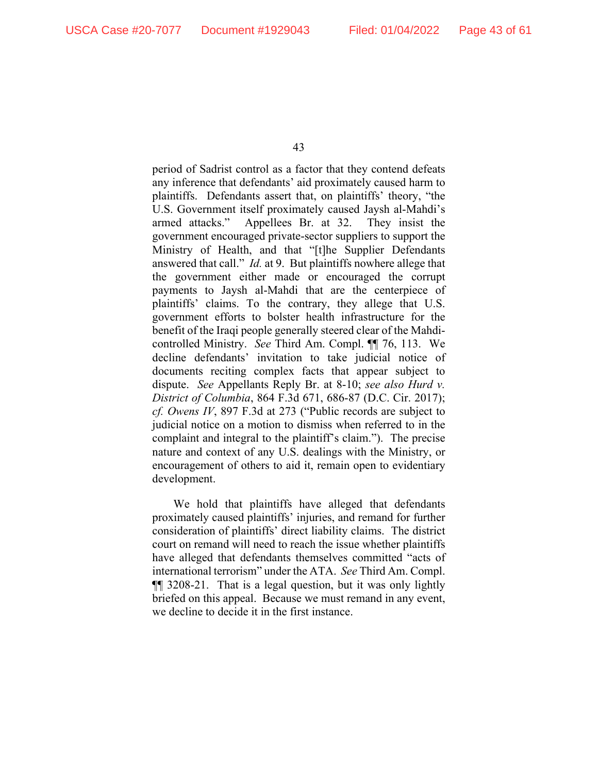period of Sadrist control as a factor that they contend defeats any inference that defendants' aid proximately caused harm to plaintiffs. Defendants assert that, on plaintiffs' theory, "the U.S. Government itself proximately caused Jaysh al-Mahdi's armed attacks." Appellees Br. at 32. They insist the government encouraged private-sector suppliers to support the Ministry of Health, and that "[t]he Supplier Defendants answered that call." *Id.* at 9. But plaintiffs nowhere allege that the government either made or encouraged the corrupt payments to Jaysh al-Mahdi that are the centerpiece of plaintiffs' claims. To the contrary, they allege that U.S. government efforts to bolster health infrastructure for the benefit of the Iraqi people generally steered clear of the Mahdicontrolled Ministry. *See* Third Am. Compl. ¶¶ 76, 113. We decline defendants' invitation to take judicial notice of documents reciting complex facts that appear subject to dispute. *See* Appellants Reply Br. at 8-10; *see also Hurd v. District of Columbia*, 864 F.3d 671, 686-87 (D.C. Cir. 2017); *cf. Owens IV*, 897 F.3d at 273 ("Public records are subject to judicial notice on a motion to dismiss when referred to in the complaint and integral to the plaintiff's claim."). The precise nature and context of any U.S. dealings with the Ministry, or encouragement of others to aid it, remain open to evidentiary development.

We hold that plaintiffs have alleged that defendants proximately caused plaintiffs' injuries, and remand for further consideration of plaintiffs' direct liability claims. The district court on remand will need to reach the issue whether plaintiffs have alleged that defendants themselves committed "acts of international terrorism" under the ATA. *See* Third Am. Compl. ¶¶ 3208-21. That is a legal question, but it was only lightly briefed on this appeal. Because we must remand in any event, we decline to decide it in the first instance.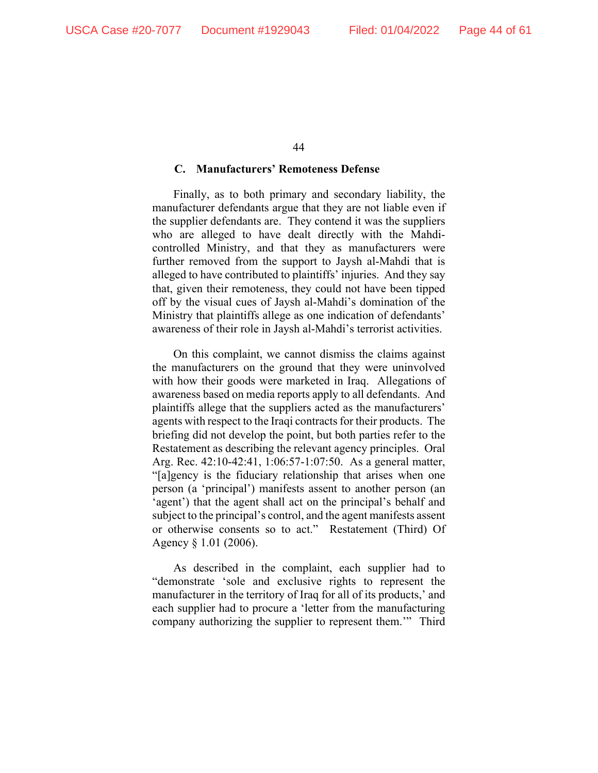## **C. Manufacturers' Remoteness Defense**

Finally, as to both primary and secondary liability, the manufacturer defendants argue that they are not liable even if the supplier defendants are. They contend it was the suppliers who are alleged to have dealt directly with the Mahdicontrolled Ministry, and that they as manufacturers were further removed from the support to Jaysh al-Mahdi that is alleged to have contributed to plaintiffs' injuries. And they say that, given their remoteness, they could not have been tipped off by the visual cues of Jaysh al-Mahdi's domination of the Ministry that plaintiffs allege as one indication of defendants' awareness of their role in Jaysh al-Mahdi's terrorist activities.

On this complaint, we cannot dismiss the claims against the manufacturers on the ground that they were uninvolved with how their goods were marketed in Iraq. Allegations of awareness based on media reports apply to all defendants. And plaintiffs allege that the suppliers acted as the manufacturers' agents with respect to the Iraqi contracts for their products. The briefing did not develop the point, but both parties refer to the Restatement as describing the relevant agency principles. Oral Arg. Rec. 42:10-42:41, 1:06:57-1:07:50. As a general matter, "[a]gency is the fiduciary relationship that arises when one person (a 'principal') manifests assent to another person (an 'agent') that the agent shall act on the principal's behalf and subject to the principal's control, and the agent manifests assent or otherwise consents so to act." Restatement (Third) Of Agency § 1.01 (2006).

As described in the complaint, each supplier had to "demonstrate 'sole and exclusive rights to represent the manufacturer in the territory of Iraq for all of its products,' and each supplier had to procure a 'letter from the manufacturing company authorizing the supplier to represent them.'" Third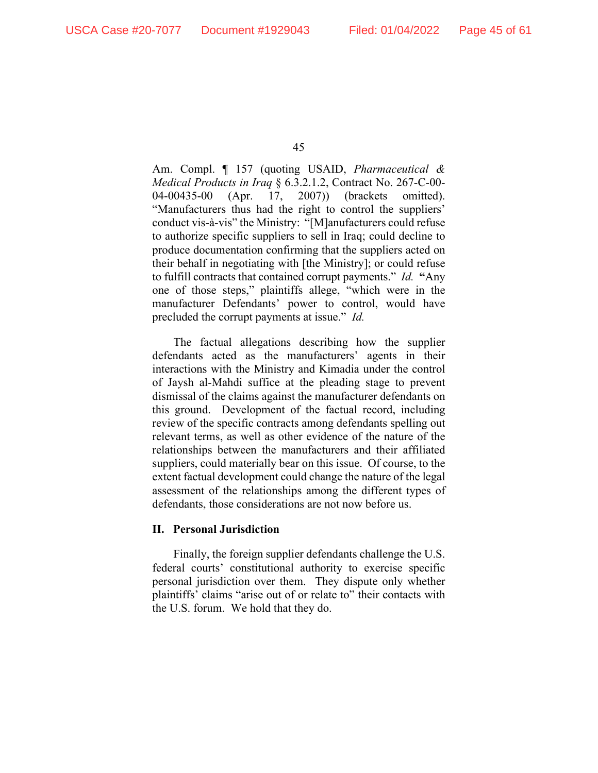Am. Compl. ¶ 157 (quoting USAID, *Pharmaceutical & Medical Products in Iraq* § 6.3.2.1.2, Contract No. 267-C-00- 04-00435-00 (Apr. 17, 2007)) (brackets omitted). "Manufacturers thus had the right to control the suppliers' conduct vis-à-vis" the Ministry: "[M]anufacturers could refuse to authorize specific suppliers to sell in Iraq; could decline to produce documentation confirming that the suppliers acted on their behalf in negotiating with [the Ministry]; or could refuse to fulfill contracts that contained corrupt payments." *Id.* **"**Any one of those steps," plaintiffs allege, "which were in the manufacturer Defendants' power to control, would have precluded the corrupt payments at issue." *Id.* 

The factual allegations describing how the supplier defendants acted as the manufacturers' agents in their interactions with the Ministry and Kimadia under the control of Jaysh al-Mahdi suffice at the pleading stage to prevent dismissal of the claims against the manufacturer defendants on this ground. Development of the factual record, including review of the specific contracts among defendants spelling out relevant terms, as well as other evidence of the nature of the relationships between the manufacturers and their affiliated suppliers, could materially bear on this issue. Of course, to the extent factual development could change the nature of the legal assessment of the relationships among the different types of defendants, those considerations are not now before us.

# **II. Personal Jurisdiction**

Finally, the foreign supplier defendants challenge the U.S. federal courts' constitutional authority to exercise specific personal jurisdiction over them. They dispute only whether plaintiffs' claims "arise out of or relate to" their contacts with the U.S. forum. We hold that they do.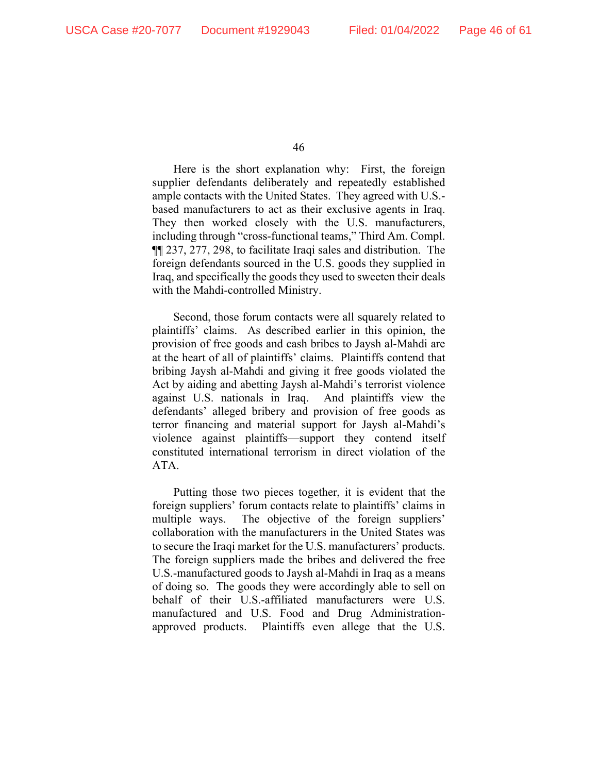Here is the short explanation why: First, the foreign supplier defendants deliberately and repeatedly established ample contacts with the United States. They agreed with U.S. based manufacturers to act as their exclusive agents in Iraq. They then worked closely with the U.S. manufacturers, including through "cross-functional teams," Third Am. Compl. ¶¶ 237, 277, 298, to facilitate Iraqi sales and distribution. The foreign defendants sourced in the U.S. goods they supplied in Iraq, and specifically the goods they used to sweeten their deals with the Mahdi-controlled Ministry.

Second, those forum contacts were all squarely related to plaintiffs' claims. As described earlier in this opinion, the provision of free goods and cash bribes to Jaysh al-Mahdi are at the heart of all of plaintiffs' claims. Plaintiffs contend that bribing Jaysh al-Mahdi and giving it free goods violated the Act by aiding and abetting Jaysh al-Mahdi's terrorist violence against U.S. nationals in Iraq. And plaintiffs view the defendants' alleged bribery and provision of free goods as terror financing and material support for Jaysh al-Mahdi's violence against plaintiffs—support they contend itself constituted international terrorism in direct violation of the ATA.

Putting those two pieces together, it is evident that the foreign suppliers' forum contacts relate to plaintiffs' claims in multiple ways. The objective of the foreign suppliers' collaboration with the manufacturers in the United States was to secure the Iraqi market for the U.S. manufacturers' products. The foreign suppliers made the bribes and delivered the free U.S.-manufactured goods to Jaysh al-Mahdi in Iraq as a means of doing so. The goods they were accordingly able to sell on behalf of their U.S.-affiliated manufacturers were U.S. manufactured and U.S. Food and Drug Administrationapproved products. Plaintiffs even allege that the U.S.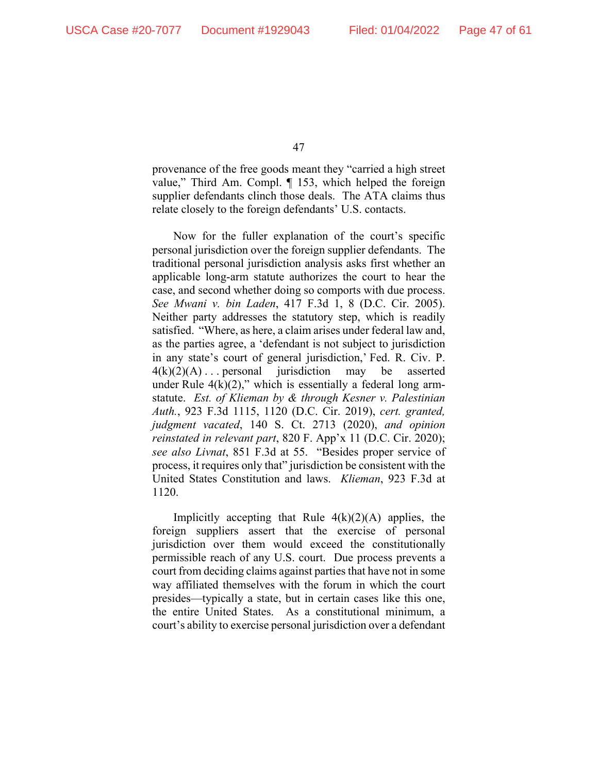provenance of the free goods meant they "carried a high street value," Third Am. Compl. ¶ 153, which helped the foreign supplier defendants clinch those deals. The ATA claims thus relate closely to the foreign defendants' U.S. contacts.

Now for the fuller explanation of the court's specific personal jurisdiction over the foreign supplier defendants. The traditional personal jurisdiction analysis asks first whether an applicable long-arm statute authorizes the court to hear the case, and second whether doing so comports with due process. *See Mwani v. bin Laden*, 417 F.3d 1, 8 (D.C. Cir. 2005). Neither party addresses the statutory step, which is readily satisfied. "Where, as here, a claim arises under federal law and, as the parties agree, a 'defendant is not subject to jurisdiction in any state's court of general jurisdiction,' Fed. R. Civ. P.  $4(k)(2)(A) \dots$  personal jurisdiction may be asserted under Rule  $4(k)(2)$ ," which is essentially a federal long armstatute. *Est. of Klieman by & through Kesner v. Palestinian Auth.*, 923 F.3d 1115, 1120 (D.C. Cir. 2019), *cert. granted, judgment vacated*, 140 S. Ct. 2713 (2020), *and opinion reinstated in relevant part*, 820 F. App'x 11 (D.C. Cir. 2020); *see also Livnat*, 851 F.3d at 55. "Besides proper service of process, it requires only that" jurisdiction be consistent with the United States Constitution and laws. *Klieman*, 923 F.3d at 1120.

Implicitly accepting that Rule  $4(k)(2)(A)$  applies, the foreign suppliers assert that the exercise of personal jurisdiction over them would exceed the constitutionally permissible reach of any U.S. court. Due process prevents a court from deciding claims against parties that have not in some way affiliated themselves with the forum in which the court presides—typically a state, but in certain cases like this one, the entire United States. As a constitutional minimum, a court's ability to exercise personal jurisdiction over a defendant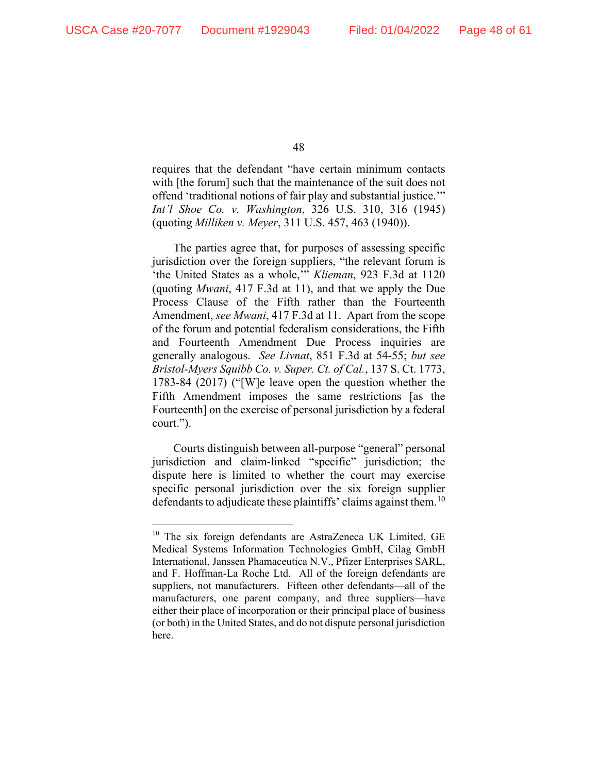requires that the defendant "have certain minimum contacts with [the forum] such that the maintenance of the suit does not offend 'traditional notions of fair play and substantial justice.'" *Int'l Shoe Co. v. Washington*, 326 U.S. 310, 316 (1945) (quoting *Milliken v. Meyer*, 311 U.S. 457, 463 (1940)).

The parties agree that, for purposes of assessing specific jurisdiction over the foreign suppliers, "the relevant forum is 'the United States as a whole,'" *Klieman*, 923 F.3d at 1120 (quoting *Mwani*, 417 F.3d at 11), and that we apply the Due Process Clause of the Fifth rather than the Fourteenth Amendment, *see Mwani*, 417 F.3d at 11. Apart from the scope of the forum and potential federalism considerations, the Fifth and Fourteenth Amendment Due Process inquiries are generally analogous. *See Livnat*, 851 F.3d at 54-55; *but see Bristol-Myers Squibb Co. v. Super. Ct. of Cal.*, 137 S. Ct. 1773, 1783-84 (2017) ("[W]e leave open the question whether the Fifth Amendment imposes the same restrictions [as the Fourteenth] on the exercise of personal jurisdiction by a federal court.").

Courts distinguish between all-purpose "general" personal jurisdiction and claim-linked "specific" jurisdiction; the dispute here is limited to whether the court may exercise specific personal jurisdiction over the six foreign supplier defendants to adjudicate these plaintiffs' claims against them.<sup>[10](#page-47-0)</sup>

<span id="page-47-0"></span><sup>&</sup>lt;sup>10</sup> The six foreign defendants are AstraZeneca UK Limited, GE Medical Systems Information Technologies GmbH, Cilag GmbH International, Janssen Phamaceutica N.V., Pfizer Enterprises SARL, and F. Hoffman-La Roche Ltd. All of the foreign defendants are suppliers, not manufacturers. Fifteen other defendants—all of the manufacturers, one parent company, and three suppliers—have either their place of incorporation or their principal place of business (or both) in the United States, and do not dispute personal jurisdiction here.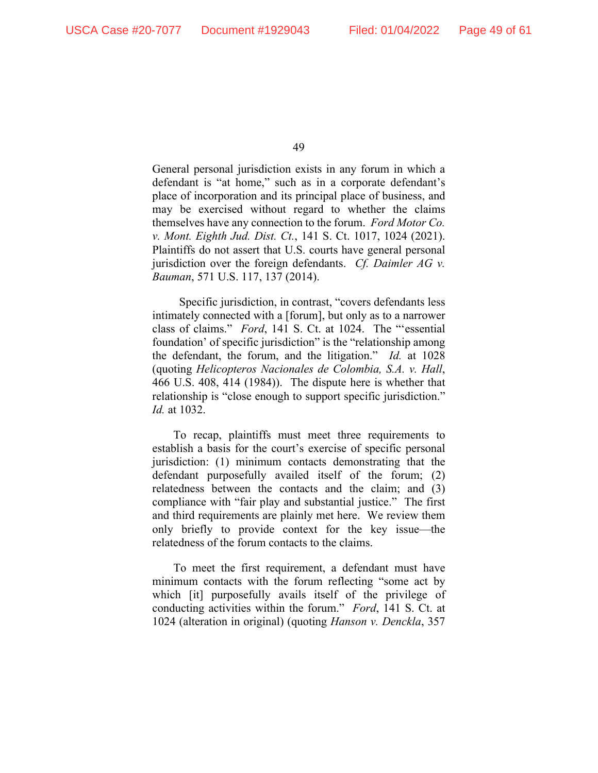General personal jurisdiction exists in any forum in which a defendant is "at home," such as in a corporate defendant's place of incorporation and its principal place of business, and may be exercised without regard to whether the claims themselves have any connection to the forum. *Ford Motor Co. v. Mont. Eighth Jud. Dist. Ct.*, 141 S. Ct. 1017, 1024 (2021). Plaintiffs do not assert that U.S. courts have general personal jurisdiction over the foreign defendants. *Cf. Daimler AG v. Bauman*, 571 U.S. 117, 137 (2014).

 Specific jurisdiction, in contrast, "covers defendants less intimately connected with a [forum], but only as to a narrower class of claims." *Ford*, 141 S. Ct. at 1024. The "'essential foundation' of specific jurisdiction" is the "relationship among the defendant, the forum, and the litigation." *Id.* at 1028 (quoting *Helicopteros Nacionales de Colombia, S.A. v. Hall*, 466 U.S. 408, 414 (1984)). The dispute here is whether that relationship is "close enough to support specific jurisdiction." *Id.* at 1032.

To recap, plaintiffs must meet three requirements to establish a basis for the court's exercise of specific personal jurisdiction: (1) minimum contacts demonstrating that the defendant purposefully availed itself of the forum; (2) relatedness between the contacts and the claim; and (3) compliance with "fair play and substantial justice." The first and third requirements are plainly met here. We review them only briefly to provide context for the key issue—the relatedness of the forum contacts to the claims.

To meet the first requirement, a defendant must have minimum contacts with the forum reflecting "some act by which [it] purposefully avails itself of the privilege of conducting activities within the forum." *Ford*, 141 S. Ct. at 1024 (alteration in original) (quoting *Hanson v. Denckla*, 357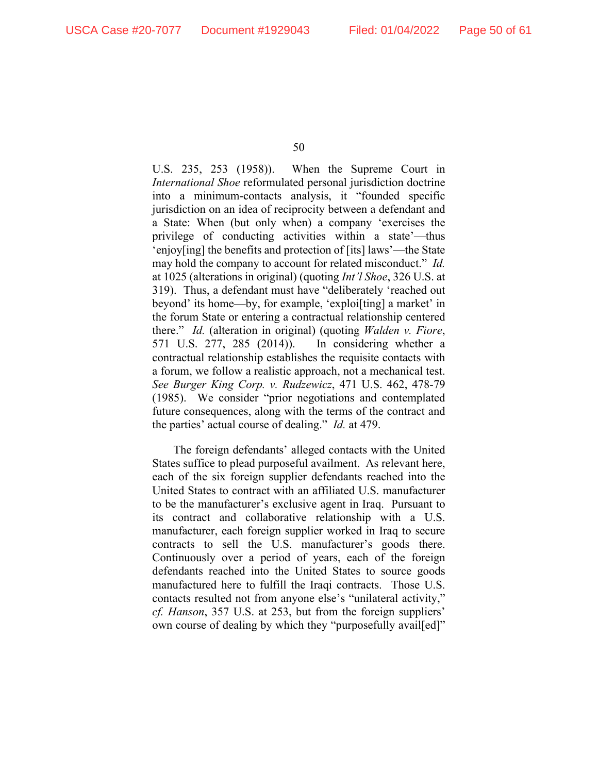U.S. 235, 253 (1958)). When the Supreme Court in *International Shoe* reformulated personal jurisdiction doctrine into a minimum-contacts analysis, it "founded specific jurisdiction on an idea of reciprocity between a defendant and a State: When (but only when) a company 'exercises the privilege of conducting activities within a state'—thus 'enjoy[ing] the benefits and protection of [its] laws'—the State may hold the company to account for related misconduct." *Id.* at 1025 (alterations in original) (quoting *Int'l Shoe*, 326 U.S. at 319). Thus, a defendant must have "deliberately 'reached out beyond' its home—by, for example, 'exploi[ting] a market' in the forum State or entering a contractual relationship centered there." *Id.* (alteration in original) (quoting *Walden v. Fiore*, 571 U.S. 277, 285 (2014)). In considering whether a contractual relationship establishes the requisite contacts with a forum, we follow a realistic approach, not a mechanical test. *See Burger King Corp. v. Rudzewicz*, 471 U.S. 462, 478-79 (1985). We consider "prior negotiations and contemplated future consequences, along with the terms of the contract and the parties' actual course of dealing." *Id.* at 479.

The foreign defendants' alleged contacts with the United States suffice to plead purposeful availment. As relevant here, each of the six foreign supplier defendants reached into the United States to contract with an affiliated U.S. manufacturer to be the manufacturer's exclusive agent in Iraq. Pursuant to its contract and collaborative relationship with a U.S. manufacturer, each foreign supplier worked in Iraq to secure contracts to sell the U.S. manufacturer's goods there. Continuously over a period of years, each of the foreign defendants reached into the United States to source goods manufactured here to fulfill the Iraqi contracts. Those U.S. contacts resulted not from anyone else's "unilateral activity," *cf. Hanson*, 357 U.S. at 253, but from the foreign suppliers' own course of dealing by which they "purposefully avail[ed]"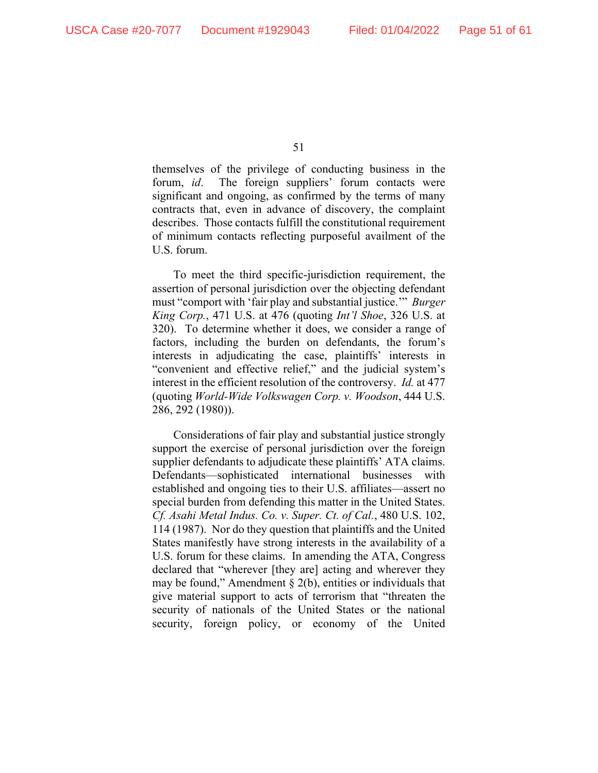themselves of the privilege of conducting business in the forum, *id*. The foreign suppliers' forum contacts were significant and ongoing, as confirmed by the terms of many contracts that, even in advance of discovery, the complaint describes. Those contacts fulfill the constitutional requirement of minimum contacts reflecting purposeful availment of the U.S. forum.

To meet the third specific-jurisdiction requirement, the assertion of personal jurisdiction over the objecting defendant must "comport with 'fair play and substantial justice.'" *Burger King Corp.*, 471 U.S. at 476 (quoting *Int'l Shoe*, 326 U.S. at 320). To determine whether it does, we consider a range of factors, including the burden on defendants, the forum's interests in adjudicating the case, plaintiffs' interests in "convenient and effective relief," and the judicial system's interest in the efficient resolution of the controversy. *Id.* at 477 (quoting *World-Wide Volkswagen Corp. v. Woodson*, 444 U.S. 286, 292 (1980)).

Considerations of fair play and substantial justice strongly support the exercise of personal jurisdiction over the foreign supplier defendants to adjudicate these plaintiffs' ATA claims. Defendants—sophisticated international businesses with established and ongoing ties to their U.S. affiliates—assert no special burden from defending this matter in the United States. *Cf. Asahi Metal Indus. Co. v. Super. Ct. of Cal.*, 480 U.S. 102, 114 (1987). Nor do they question that plaintiffs and the United States manifestly have strong interests in the availability of a U.S. forum for these claims. In amending the ATA, Congress declared that "wherever [they are] acting and wherever they may be found," Amendment  $\S$  2(b), entities or individuals that give material support to acts of terrorism that "threaten the security of nationals of the United States or the national security, foreign policy, or economy of the United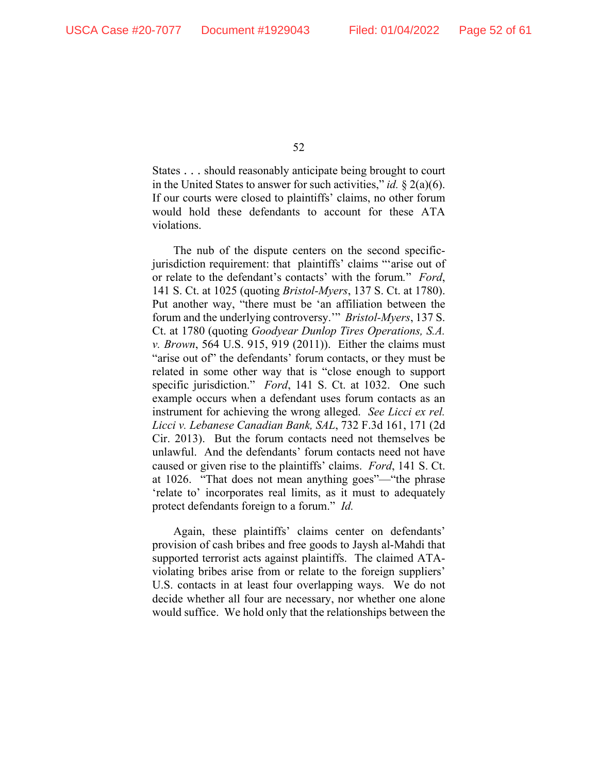States . . . should reasonably anticipate being brought to court in the United States to answer for such activities," *id.* § 2(a)(6). If our courts were closed to plaintiffs' claims, no other forum would hold these defendants to account for these ATA violations.

The nub of the dispute centers on the second specificjurisdiction requirement: that plaintiffs' claims "'arise out of or relate to the defendant's contacts' with the forum*.*" *Ford*, 141 S. Ct. at 1025 (quoting *Bristol-Myers*, 137 S. Ct. at 1780). Put another way, "there must be 'an affiliation between the forum and the underlying controversy.'" *Bristol-Myers*, 137 S. Ct. at 1780 (quoting *Goodyear Dunlop Tires Operations, S.A. v. Brown*, 564 U.S. 915, 919 (2011)). Either the claims must "arise out of" the defendants' forum contacts, or they must be related in some other way that is "close enough to support specific jurisdiction." *Ford*, 141 S. Ct. at 1032. One such example occurs when a defendant uses forum contacts as an instrument for achieving the wrong alleged. *See Licci ex rel. Licci v. Lebanese Canadian Bank, SAL*, 732 F.3d 161, 171 (2d Cir. 2013). But the forum contacts need not themselves be unlawful. And the defendants' forum contacts need not have caused or given rise to the plaintiffs' claims. *Ford*, 141 S. Ct. at 1026. "That does not mean anything goes"—"the phrase 'relate to' incorporates real limits, as it must to adequately protect defendants foreign to a forum." *Id.*

Again, these plaintiffs' claims center on defendants' provision of cash bribes and free goods to Jaysh al-Mahdi that supported terrorist acts against plaintiffs. The claimed ATAviolating bribes arise from or relate to the foreign suppliers' U.S. contacts in at least four overlapping ways. We do not decide whether all four are necessary, nor whether one alone would suffice. We hold only that the relationships between the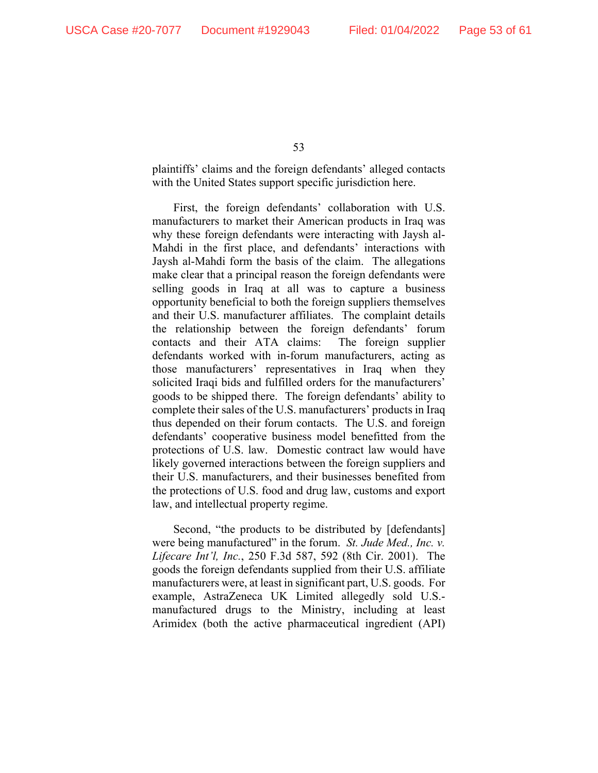plaintiffs' claims and the foreign defendants' alleged contacts with the United States support specific jurisdiction here.

First, the foreign defendants' collaboration with U.S. manufacturers to market their American products in Iraq was why these foreign defendants were interacting with Jaysh al-Mahdi in the first place, and defendants' interactions with Jaysh al-Mahdi form the basis of the claim. The allegations make clear that a principal reason the foreign defendants were selling goods in Iraq at all was to capture a business opportunity beneficial to both the foreign suppliers themselves and their U.S. manufacturer affiliates. The complaint details the relationship between the foreign defendants' forum contacts and their ATA claims: The foreign supplier defendants worked with in-forum manufacturers, acting as those manufacturers' representatives in Iraq when they solicited Iraqi bids and fulfilled orders for the manufacturers' goods to be shipped there. The foreign defendants' ability to complete their sales of the U.S. manufacturers' products in Iraq thus depended on their forum contacts. The U.S. and foreign defendants' cooperative business model benefitted from the protections of U.S. law. Domestic contract law would have likely governed interactions between the foreign suppliers and their U.S. manufacturers, and their businesses benefited from the protections of U.S. food and drug law, customs and export law, and intellectual property regime.

Second, "the products to be distributed by [defendants] were being manufactured" in the forum. *St. Jude Med., Inc. v. Lifecare Int'l, Inc.*, 250 F.3d 587, 592 (8th Cir. 2001). The goods the foreign defendants supplied from their U.S. affiliate manufacturers were, at least in significant part, U.S. goods. For example, AstraZeneca UK Limited allegedly sold U.S. manufactured drugs to the Ministry, including at least Arimidex (both the active pharmaceutical ingredient (API)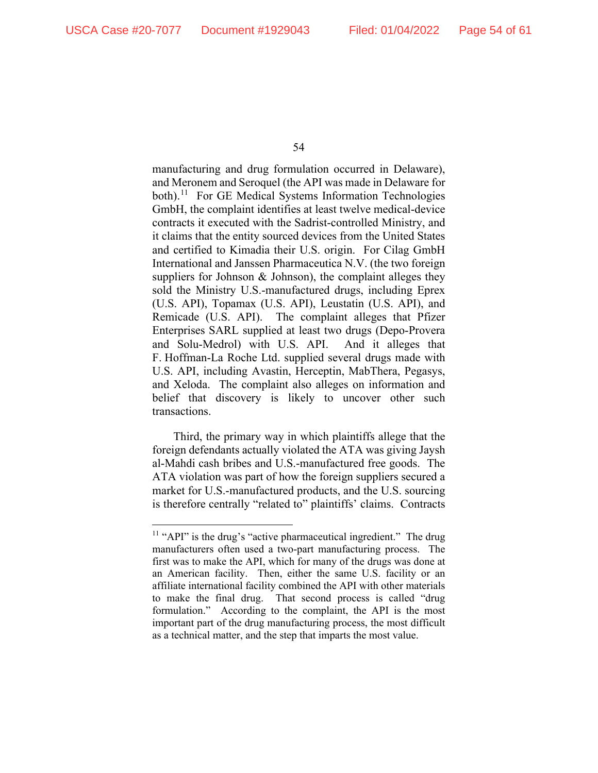manufacturing and drug formulation occurred in Delaware), and Meronem and Seroquel (the API was made in Delaware for both).<sup>11</sup> For GE Medical Systems Information Technologies GmbH, the complaint identifies at least twelve medical-device contracts it executed with the Sadrist-controlled Ministry, and it claims that the entity sourced devices from the United States and certified to Kimadia their U.S. origin. For Cilag GmbH International and Janssen Pharmaceutica N.V. (the two foreign suppliers for Johnson & Johnson), the complaint alleges they sold the Ministry U.S.-manufactured drugs, including Eprex (U.S. API), Topamax (U.S. API), Leustatin (U.S. API), and Remicade (U.S. API). The complaint alleges that Pfizer Enterprises SARL supplied at least two drugs (Depo-Provera and Solu-Medrol) with U.S. API. And it alleges that F. Hoffman-La Roche Ltd. supplied several drugs made with U.S. API, including Avastin, Herceptin, MabThera, Pegasys, and Xeloda. The complaint also alleges on information and belief that discovery is likely to uncover other such transactions.

Third, the primary way in which plaintiffs allege that the foreign defendants actually violated the ATA was giving Jaysh al-Mahdi cash bribes and U.S.-manufactured free goods. The ATA violation was part of how the foreign suppliers secured a market for U.S.-manufactured products, and the U.S. sourcing is therefore centrally "related to" plaintiffs' claims. Contracts

<span id="page-53-0"></span><sup>&</sup>lt;sup>11</sup> "API" is the drug's "active pharmaceutical ingredient." The drug manufacturers often used a two-part manufacturing process. The first was to make the API, which for many of the drugs was done at an American facility. Then, either the same U.S. facility or an affiliate international facility combined the API with other materials to make the final drug. That second process is called "drug formulation." According to the complaint, the API is the most important part of the drug manufacturing process, the most difficult as a technical matter, and the step that imparts the most value.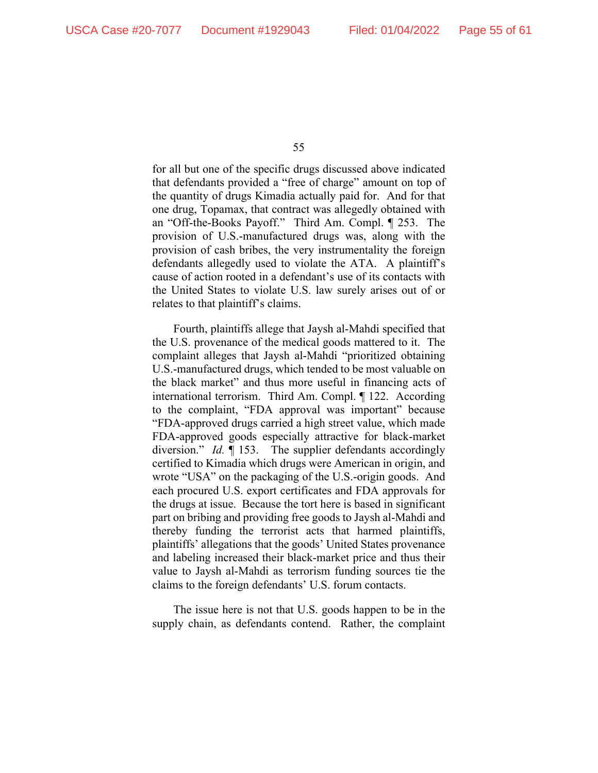for all but one of the specific drugs discussed above indicated that defendants provided a "free of charge" amount on top of the quantity of drugs Kimadia actually paid for. And for that one drug, Topamax, that contract was allegedly obtained with an "Off-the-Books Payoff." Third Am. Compl. ¶ 253. The provision of U.S.-manufactured drugs was, along with the provision of cash bribes, the very instrumentality the foreign defendants allegedly used to violate the ATA. A plaintiff's cause of action rooted in a defendant's use of its contacts with the United States to violate U.S. law surely arises out of or relates to that plaintiff's claims.

Fourth, plaintiffs allege that Jaysh al-Mahdi specified that the U.S. provenance of the medical goods mattered to it. The complaint alleges that Jaysh al-Mahdi "prioritized obtaining U.S.-manufactured drugs, which tended to be most valuable on the black market" and thus more useful in financing acts of international terrorism. Third Am. Compl. ¶ 122. According to the complaint, "FDA approval was important" because "FDA-approved drugs carried a high street value, which made FDA-approved goods especially attractive for black-market diversion." *Id.* ¶ 153. The supplier defendants accordingly certified to Kimadia which drugs were American in origin, and wrote "USA" on the packaging of the U.S.-origin goods. And each procured U.S. export certificates and FDA approvals for the drugs at issue. Because the tort here is based in significant part on bribing and providing free goods to Jaysh al-Mahdi and thereby funding the terrorist acts that harmed plaintiffs, plaintiffs' allegations that the goods' United States provenance and labeling increased their black-market price and thus their value to Jaysh al-Mahdi as terrorism funding sources tie the claims to the foreign defendants' U.S. forum contacts.

The issue here is not that U.S. goods happen to be in the supply chain, as defendants contend. Rather, the complaint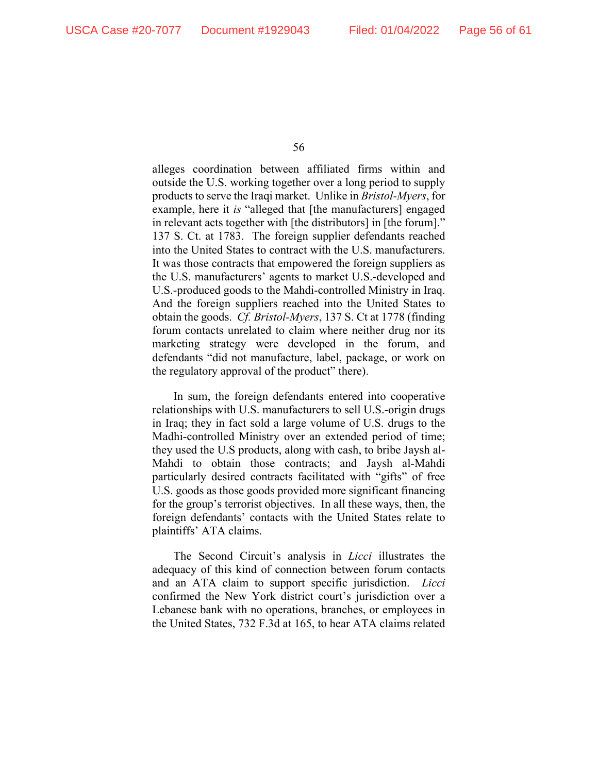alleges coordination between affiliated firms within and outside the U.S. working together over a long period to supply products to serve the Iraqi market. Unlike in *Bristol-Myers*, for example, here it *is* "alleged that [the manufacturers] engaged in relevant acts together with [the distributors] in [the forum]." 137 S. Ct. at 1783. The foreign supplier defendants reached into the United States to contract with the U.S. manufacturers. It was those contracts that empowered the foreign suppliers as the U.S. manufacturers' agents to market U.S.-developed and U.S.-produced goods to the Mahdi-controlled Ministry in Iraq. And the foreign suppliers reached into the United States to obtain the goods. *Cf. Bristol-Myers*, 137 S. Ct at 1778 (finding forum contacts unrelated to claim where neither drug nor its marketing strategy were developed in the forum, and defendants "did not manufacture, label, package, or work on the regulatory approval of the product" there).

In sum, the foreign defendants entered into cooperative relationships with U.S. manufacturers to sell U.S.-origin drugs in Iraq; they in fact sold a large volume of U.S. drugs to the Madhi-controlled Ministry over an extended period of time; they used the U.S products, along with cash, to bribe Jaysh al-Mahdi to obtain those contracts; and Jaysh al-Mahdi particularly desired contracts facilitated with "gifts" of free U.S. goods as those goods provided more significant financing for the group's terrorist objectives. In all these ways, then, the foreign defendants' contacts with the United States relate to plaintiffs' ATA claims.

The Second Circuit's analysis in *Licci* illustrates the adequacy of this kind of connection between forum contacts and an ATA claim to support specific jurisdiction. *Licci* confirmed the New York district court's jurisdiction over a Lebanese bank with no operations, branches, or employees in the United States, 732 F.3d at 165, to hear ATA claims related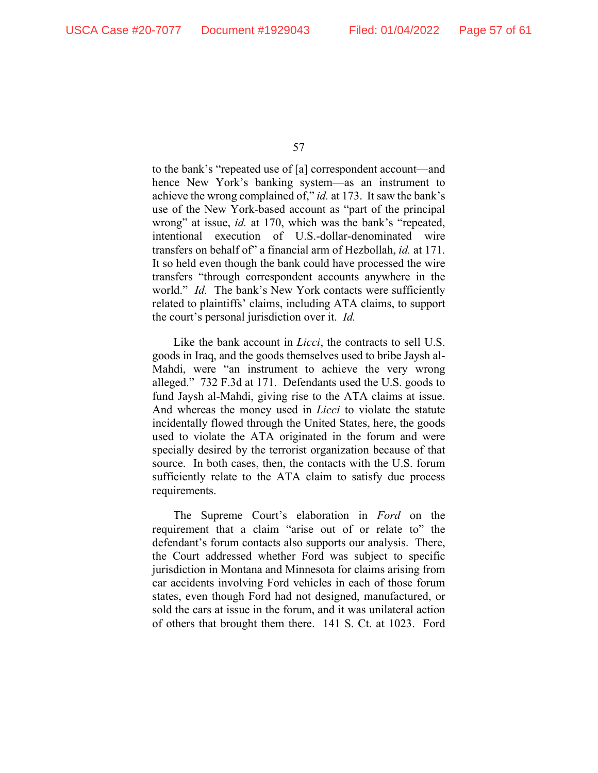to the bank's "repeated use of [a] correspondent account—and hence New York's banking system—as an instrument to achieve the wrong complained of," *id.* at 173. It saw the bank's use of the New York-based account as "part of the principal wrong" at issue, *id.* at 170, which was the bank's "repeated, intentional execution of U.S.-dollar-denominated wire transfers on behalf of" a financial arm of Hezbollah, *id.* at 171. It so held even though the bank could have processed the wire transfers "through correspondent accounts anywhere in the world." *Id.* The bank's New York contacts were sufficiently related to plaintiffs' claims, including ATA claims, to support the court's personal jurisdiction over it. *Id.* 

Like the bank account in *Licci*, the contracts to sell U.S. goods in Iraq, and the goods themselves used to bribe Jaysh al-Mahdi, were "an instrument to achieve the very wrong alleged." 732 F.3d at 171.Defendants used the U.S. goods to fund Jaysh al-Mahdi, giving rise to the ATA claims at issue. And whereas the money used in *Licci* to violate the statute incidentally flowed through the United States, here, the goods used to violate the ATA originated in the forum and were specially desired by the terrorist organization because of that source. In both cases, then, the contacts with the U.S. forum sufficiently relate to the ATA claim to satisfy due process requirements.

The Supreme Court's elaboration in *Ford* on the requirement that a claim "arise out of or relate to" the defendant's forum contacts also supports our analysis. There, the Court addressed whether Ford was subject to specific jurisdiction in Montana and Minnesota for claims arising from car accidents involving Ford vehicles in each of those forum states, even though Ford had not designed, manufactured, or sold the cars at issue in the forum, and it was unilateral action of others that brought them there. 141 S. Ct. at 1023.Ford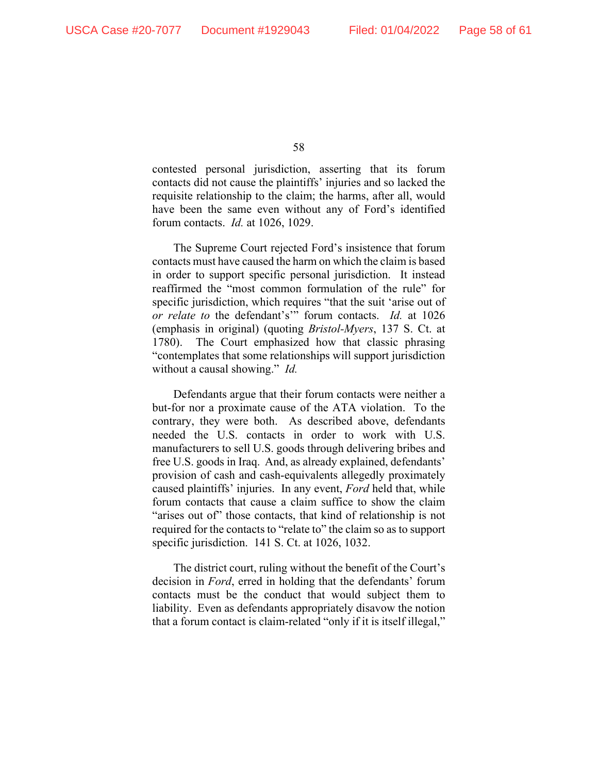contested personal jurisdiction, asserting that its forum contacts did not cause the plaintiffs' injuries and so lacked the requisite relationship to the claim; the harms, after all, would have been the same even without any of Ford's identified forum contacts. *Id.* at 1026, 1029.

The Supreme Court rejected Ford's insistence that forum contacts must have caused the harm on which the claim is based in order to support specific personal jurisdiction. It instead reaffirmed the "most common formulation of the rule" for specific jurisdiction, which requires "that the suit 'arise out of *or relate to* the defendant's'" forum contacts. *Id.* at 1026 (emphasis in original) (quoting *Bristol-Myers*, 137 S. Ct. at 1780). The Court emphasized how that classic phrasing "contemplates that some relationships will support jurisdiction without a causal showing." *Id.*

Defendants argue that their forum contacts were neither a but-for nor a proximate cause of the ATA violation. To the contrary, they were both. As described above, defendants needed the U.S. contacts in order to work with U.S. manufacturers to sell U.S. goods through delivering bribes and free U.S. goods in Iraq. And, as already explained, defendants' provision of cash and cash-equivalents allegedly proximately caused plaintiffs' injuries. In any event, *Ford* held that, while forum contacts that cause a claim suffice to show the claim "arises out of" those contacts, that kind of relationship is not required for the contacts to "relate to" the claim so as to support specific jurisdiction. 141 S. Ct. at 1026, 1032.

The district court, ruling without the benefit of the Court's decision in *Ford*, erred in holding that the defendants' forum contacts must be the conduct that would subject them to liability. Even as defendants appropriately disavow the notion that a forum contact is claim-related "only if it is itself illegal,"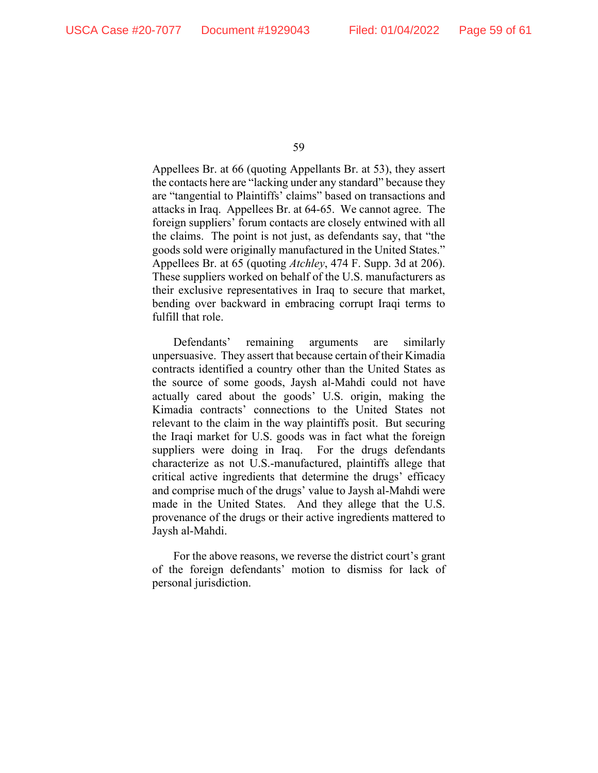Appellees Br. at 66 (quoting Appellants Br. at 53), they assert the contacts here are "lacking under any standard" because they are "tangential to Plaintiffs' claims" based on transactions and attacks in Iraq. Appellees Br. at 64-65. We cannot agree. The foreign suppliers' forum contacts are closely entwined with all the claims. The point is not just, as defendants say, that "the goods sold were originally manufactured in the United States." Appellees Br. at 65 (quoting *Atchley*, 474 F. Supp. 3d at 206). These suppliers worked on behalf of the U.S. manufacturers as their exclusive representatives in Iraq to secure that market, bending over backward in embracing corrupt Iraqi terms to fulfill that role.

Defendants' remaining arguments are similarly unpersuasive. They assert that because certain of their Kimadia contracts identified a country other than the United States as the source of some goods, Jaysh al-Mahdi could not have actually cared about the goods' U.S. origin, making the Kimadia contracts' connections to the United States not relevant to the claim in the way plaintiffs posit. But securing the Iraqi market for U.S. goods was in fact what the foreign suppliers were doing in Iraq. For the drugs defendants characterize as not U.S.-manufactured, plaintiffs allege that critical active ingredients that determine the drugs' efficacy and comprise much of the drugs' value to Jaysh al-Mahdi were made in the United States. And they allege that the U.S. provenance of the drugs or their active ingredients mattered to Jaysh al-Mahdi.

For the above reasons, we reverse the district court's grant of the foreign defendants' motion to dismiss for lack of personal jurisdiction.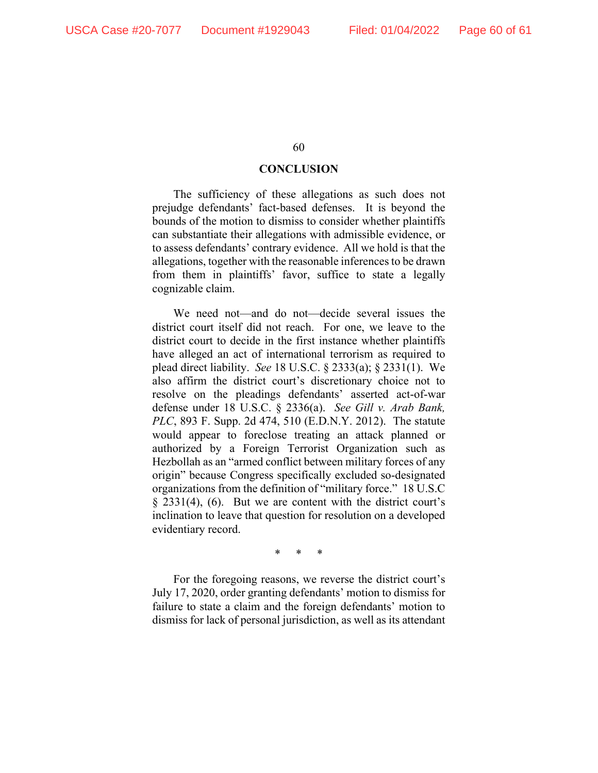# **CONCLUSION**

The sufficiency of these allegations as such does not prejudge defendants' fact-based defenses. It is beyond the bounds of the motion to dismiss to consider whether plaintiffs can substantiate their allegations with admissible evidence, or to assess defendants' contrary evidence. All we hold is that the allegations, together with the reasonable inferences to be drawn from them in plaintiffs' favor, suffice to state a legally cognizable claim.

We need not—and do not—decide several issues the district court itself did not reach. For one, we leave to the district court to decide in the first instance whether plaintiffs have alleged an act of international terrorism as required to plead direct liability. *See* 18 U.S.C. § 2333(a); § 2331(1). We also affirm the district court's discretionary choice not to resolve on the pleadings defendants' asserted act-of-war defense under 18 U.S.C. § 2336(a). *See Gill v. Arab Bank, PLC*, 893 F. Supp. 2d 474, 510 (E.D.N.Y. 2012).The statute would appear to foreclose treating an attack planned or authorized by a Foreign Terrorist Organization such as Hezbollah as an "armed conflict between military forces of any origin" because Congress specifically excluded so-designated organizations from the definition of "military force." 18 U.S.C  $\S$  2331(4), (6). But we are content with the district court's inclination to leave that question for resolution on a developed evidentiary record.

\* \* \*

For the foregoing reasons, we reverse the district court's July 17, 2020, order granting defendants' motion to dismiss for failure to state a claim and the foreign defendants' motion to dismiss for lack of personal jurisdiction, as well as its attendant